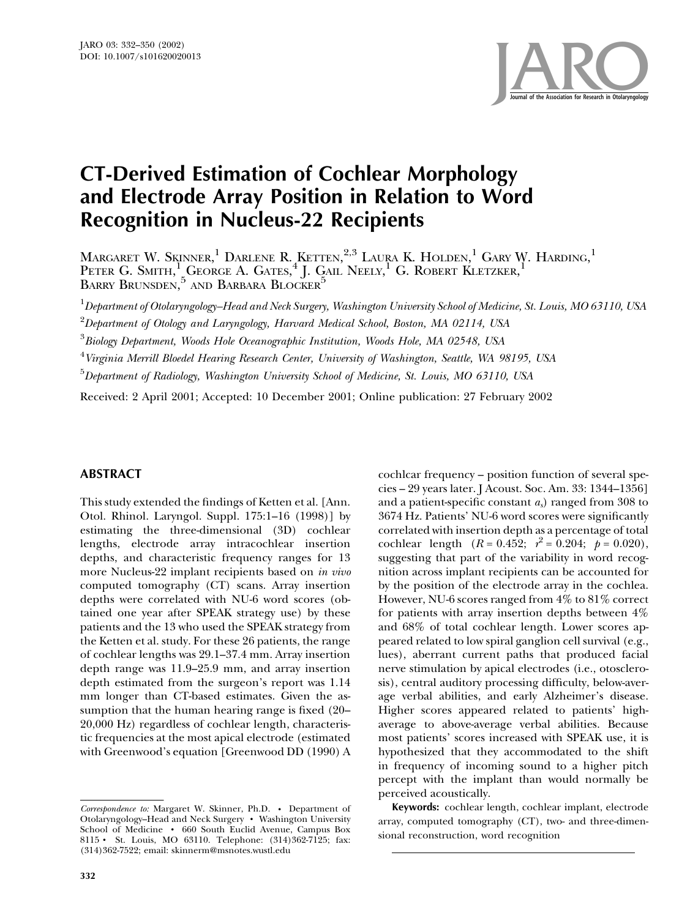

# **CT-Derived Estimation of Cochlear Morphology** and Electrode Array Position in Relation to Word **Recognition in Nucleus-22 Recipients**

MARGARET W. SKINNER,<sup>1</sup> DARLENE R. KETTEN,<sup>2,3</sup> LAURA K. HOLDEN,<sup>1</sup> GARY W. HARDING,<sup>1</sup> PETER G. SMITH,<sup>1</sup> GEORGE A. GATES,<sup>4</sup> J. GAIL NEELY,<sup>1</sup> G. ROBERT KLETZKER,<sup>1</sup> BARRY BRUNSDEN,<sup>5</sup> AND BARBARA BLOCKER<sup>5</sup>

 $^1$ Department of Otolaryngology–Head and Neck Surgery, Washington University School of Medicine, St. Louis, MO 63110, USA

<sup>2</sup>Department of Otology and Laryngology, Harvard Medical School, Boston, MA 02114, USA

<sup>3</sup>Biology Department, Woods Hole Oceanographic Institution, Woods Hole, MA 02548, USA

<sup>4</sup>Virginia Merrill Bloedel Hearing Research Center, University of Washington, Seattle, WA 98195, USA

<sup>5</sup>Department of Radiology, Washington University School of Medicine, St. Louis, MO 63110, USA

Received: 2 April 2001; Accepted: 10 December 2001; Online publication: 27 February 2002

## **ABSTRACT**

This study extended the findings of Ketten et al. [Ann. Otol. Rhinol. Laryngol. Suppl. 175:1–16 (1998)] by estimating the three-dimensional (3D) cochlear lengths, electrode array intracochlear insertion depths, and characteristic frequency ranges for 13 more Nucleus-22 implant recipients based on in vivo computed tomography (CT) scans. Array insertion depths were correlated with NU-6 word scores (obtained one year after SPEAK strategy use) by these patients and the 13 who used the SPEAK strategy from the Ketten et al. study. For these 26 patients, the range of cochlear lengths was 29.1–37.4 mm. Array insertion depth range was 11.9–25.9 mm, and array insertion depth estimated from the surgeon's report was 1.14 mm longer than CT-based estimates. Given the assumption that the human hearing range is fixed (20– 20,000 Hz) regardless of cochlear length, characteristic frequencies at the most apical electrode (estimated with Greenwood's equation [Greenwood DD (1990) A

Correspondence to: Margaret W. Skinner, Ph.D. • Department of Otolaryngology-Head and Neck Surgery • Washington University School of Medicine • 660 South Euclid Avenue, Campus Box 8115 • St. Louis, MO 63110. Telephone: (314)362-7125; fax: (314) 362-7522; email: skinnerm@msnotes.wustl.edu

cochlcar frequency - position function of several species – 29 years later. [Acoust. Soc. Am. 33: 1344–1356] and a patient-specific constant  $a_s$ ) ranged from 308 to 3674 Hz. Patients' NU-6 word scores were significantly correlated with insertion depth as a percentage of total cochlear length  $(R = 0.452; r^2 = 0.204; p = 0.020)$ , suggesting that part of the variability in word recognition across implant recipients can be accounted for by the position of the electrode array in the cochlea. However, NU-6 scores ranged from 4% to 81% correct for patients with array insertion depths between  $4\%$ and 68% of total cochlear length. Lower scores appeared related to low spiral ganglion cell survival (e.g., lues), aberrant current paths that produced facial nerve stimulation by apical electrodes (i.e., otosclerosis), central auditory processing difficulty, below-average verbal abilities, and early Alzheimer's disease. Higher scores appeared related to patients' highaverage to above-average verbal abilities. Because most patients' scores increased with SPEAK use, it is hypothesized that they accommodated to the shift in frequency of incoming sound to a higher pitch percept with the implant than would normally be perceived acoustically.

Keywords: cochlear length, cochlear implant, electrode array, computed tomography (CT), two- and three-dimensional reconstruction, word recognition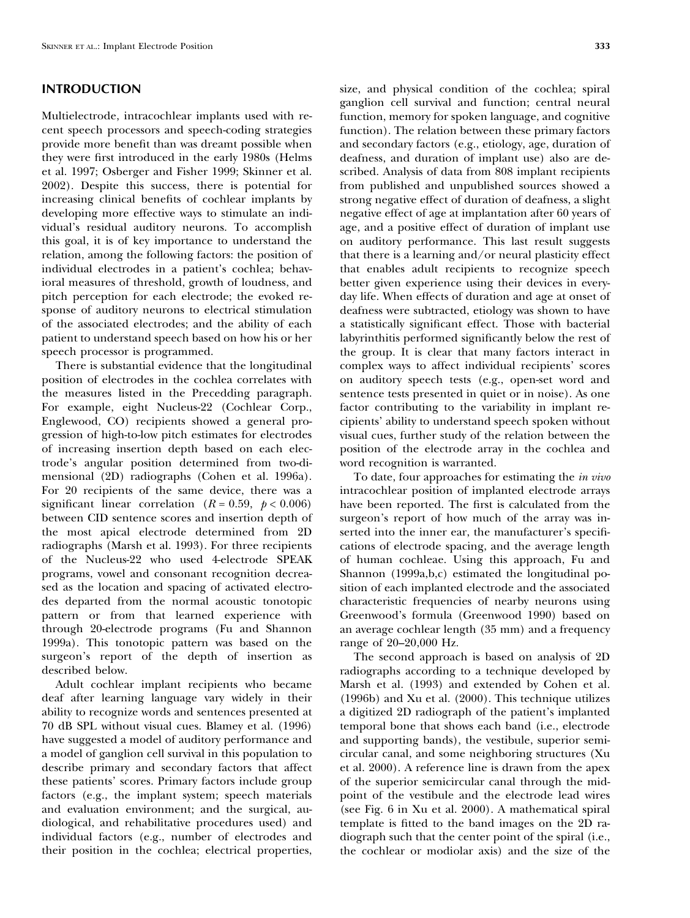# **INTRODUCTION**

Multielectrode, intracochlear implants used with recent speech processors and speech-coding strategies provide more benefit than was dreamt possible when they were first introduced in the early 1980s (Helms et al. 1997; Osberger and Fisher 1999; Skinner et al. 2002). Despite this success, there is potential for increasing clinical benefits of cochlear implants by developing more effective ways to stimulate an individual's residual auditory neurons. To accomplish this goal, it is of key importance to understand the relation, among the following factors: the position of individual electrodes in a patient's cochlea; behavioral measures of threshold, growth of loudness, and pitch perception for each electrode; the evoked response of auditory neurons to electrical stimulation of the associated electrodes; and the ability of each patient to understand speech based on how his or her speech processor is programmed.

There is substantial evidence that the longitudinal position of electrodes in the cochlea correlates with the measures listed in the Precedding paragraph. For example, eight Nucleus-22 (Cochlear Corp., Englewood, CO) recipients showed a general progression of high-to-low pitch estimates for electrodes of increasing insertion depth based on each electrode's angular position determined from two-dimensional (2D) radiographs (Cohen et al. 1996a). For 20 recipients of the same device, there was a significant linear correlation ( $R = 0.59$ ,  $p < 0.006$ ) between CID sentence scores and insertion depth of the most apical electrode determined from 2D radiographs (Marsh et al. 1993). For three recipients of the Nucleus-22 who used 4-electrode SPEAK programs, vowel and consonant recognition decreased as the location and spacing of activated electrodes departed from the normal acoustic tonotopic pattern or from that learned experience with through 20-electrode programs (Fu and Shannon 1999a). This tonotopic pattern was based on the surgeon's report of the depth of insertion as described below.

Adult cochlear implant recipients who became deaf after learning language vary widely in their ability to recognize words and sentences presented at 70 dB SPL without visual cues. Blamey et al. (1996) have suggested a model of auditory performance and a model of ganglion cell survival in this population to describe primary and secondary factors that affect these patients' scores. Primary factors include group factors (e.g., the implant system; speech materials and evaluation environment; and the surgical, audiological, and rehabilitative procedures used) and individual factors (e.g., number of electrodes and their position in the cochlea; electrical properties,

size, and physical condition of the cochlea; spiral ganglion cell survival and function; central neural function, memory for spoken language, and cognitive function). The relation between these primary factors and secondary factors (e.g., etiology, age, duration of deafness, and duration of implant use) also are described. Analysis of data from 808 implant recipients from published and unpublished sources showed a strong negative effect of duration of deafness, a slight negative effect of age at implantation after 60 years of age, and a positive effect of duration of implant use on auditory performance. This last result suggests that there is a learning and/or neural plasticity effect that enables adult recipients to recognize speech better given experience using their devices in everyday life. When effects of duration and age at onset of deafness were subtracted, etiology was shown to have a statistically significant effect. Those with bacterial labyrinthitis performed significantly below the rest of the group. It is clear that many factors interact in complex ways to affect individual recipients' scores on auditory speech tests (e.g., open-set word and sentence tests presented in quiet or in noise). As one factor contributing to the variability in implant recipients' ability to understand speech spoken without visual cues, further study of the relation between the position of the electrode array in the cochlea and word recognition is warranted.

To date, four approaches for estimating the in vivo intracochlear position of implanted electrode arrays have been reported. The first is calculated from the surgeon's report of how much of the array was inserted into the inner ear, the manufacturer's specifications of electrode spacing, and the average length of human cochleae. Using this approach, Fu and Shannon (1999a,b,c) estimated the longitudinal position of each implanted electrode and the associated characteristic frequencies of nearby neurons using Greenwood's formula (Greenwood 1990) based on an average cochlear length (35 mm) and a frequency range of 20-20,000 Hz.

The second approach is based on analysis of 2D radiographs according to a technique developed by Marsh et al. (1993) and extended by Cohen et al.  $(1996b)$  and Xu et al.  $(2000)$ . This technique utilizes a digitized 2D radiograph of the patient's implanted temporal bone that shows each band (i.e., electrode and supporting bands), the vestibule, superior semicircular canal, and some neighboring structures (Xu et al. 2000). A reference line is drawn from the apex of the superior semicircular canal through the midpoint of the vestibule and the electrode lead wires (see Fig. 6 in Xu et al. 2000). A mathematical spiral template is fitted to the band images on the 2D radiograph such that the center point of the spiral (i.e., the cochlear or modiolar axis) and the size of the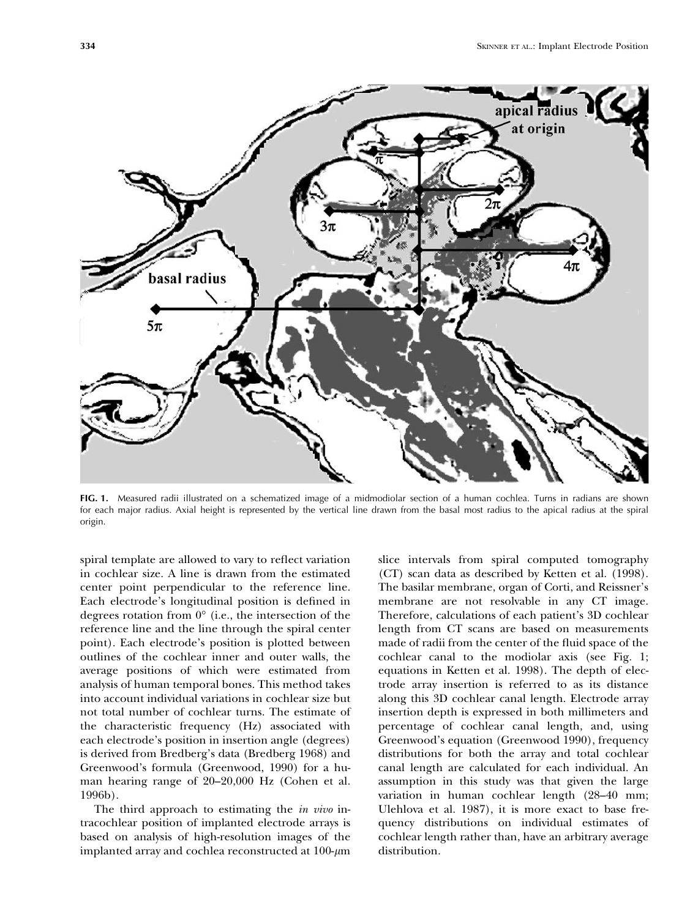

FIG. 1. Measured radii illustrated on a schematized image of a midmodiolar section of a human cochlea. Turns in radians are shown for each major radius. Axial height is represented by the vertical line drawn from the basal most radius to the apical radius at the spiral origin.

spiral template are allowed to vary to reflect variation in cochlear size. A line is drawn from the estimated center point perpendicular to the reference line. Each electrode's longitudinal position is defined in degrees rotation from  $0^{\circ}$  (i.e., the intersection of the reference line and the line through the spiral center point). Each electrode's position is plotted between outlines of the cochlear inner and outer walls, the average positions of which were estimated from analysis of human temporal bones. This method takes into account individual variations in cochlear size but not total number of cochlear turns. The estimate of the characteristic frequency (Hz) associated with each electrode's position in insertion angle (degrees) is derived from Bredberg's data (Bredberg 1968) and Greenwood's formula (Greenwood, 1990) for a human hearing range of 20-20,000 Hz (Cohen et al. 1996b).

The third approach to estimating the *in vivo* intracochlear position of implanted electrode arrays is based on analysis of high-resolution images of the implanted array and cochlea reconstructed at  $100$ - $\mu$ m

slice intervals from spiral computed tomography (CT) scan data as described by Ketten et al. (1998). The basilar membrane, organ of Corti, and Reissner's membrane are not resolvable in any CT image. Therefore, calculations of each patient's 3D cochlear length from CT scans are based on measurements made of radii from the center of the fluid space of the cochlear canal to the modiolar axis (see Fig. 1; equations in Ketten et al. 1998). The depth of electrode array insertion is referred to as its distance along this 3D cochlear canal length. Electrode array insertion depth is expressed in both millimeters and percentage of cochlear canal length, and, using Greenwood's equation (Greenwood 1990), frequency distributions for both the array and total cochlear canal length are calculated for each individual. An assumption in this study was that given the large variation in human cochlear length (28–40 mm; Ulehlova et al. 1987), it is more exact to base frequency distributions on individual estimates of cochlear length rather than, have an arbitrary average distribution.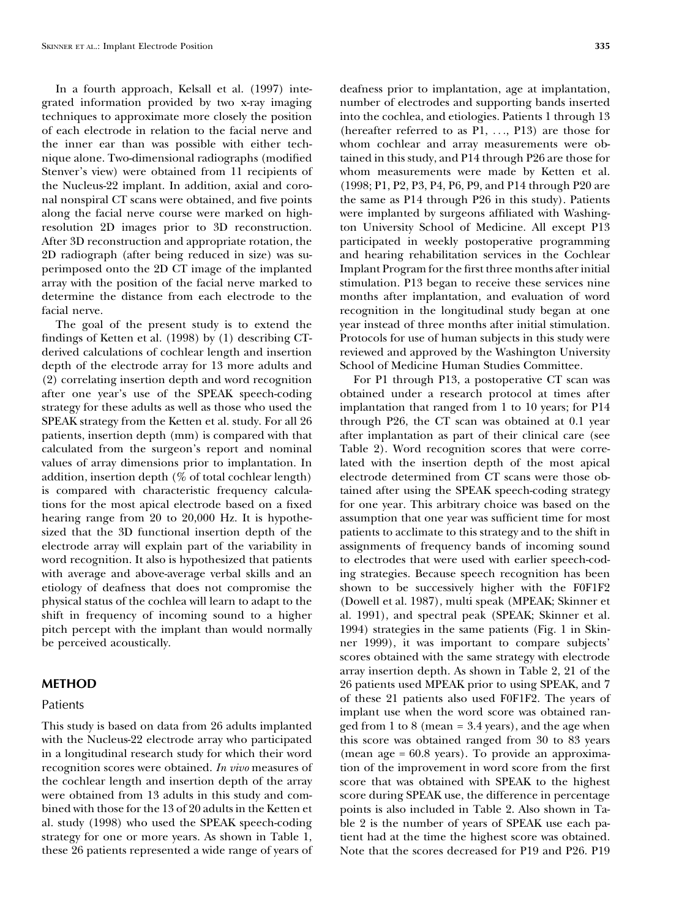In a fourth approach, Kelsall et al. (1997) integrated information provided by two x-ray imaging techniques to approximate more closely the position of each electrode in relation to the facial nerve and the inner ear than was possible with either technique alone. Two-dimensional radiographs (modified Stenver's view) were obtained from 11 recipients of the Nucleus-22 implant. In addition, axial and coronal nonspiral CT scans were obtained, and five points along the facial nerve course were marked on highresolution 2D images prior to 3D reconstruction. After 3D reconstruction and appropriate rotation, the 2D radiograph (after being reduced in size) was superimposed onto the 2D CT image of the implanted array with the position of the facial nerve marked to determine the distance from each electrode to the facial nerve.

The goal of the present study is to extend the findings of Ketten et al. (1998) by (1) describing CTderived calculations of cochlear length and insertion depth of the electrode array for 13 more adults and (2) correlating insertion depth and word recognition after one year's use of the SPEAK speech-coding strategy for these adults as well as those who used the SPEAK strategy from the Ketten et al. study. For all 26 patients, insertion depth (mm) is compared with that calculated from the surgeon's report and nominal values of array dimensions prior to implantation. In addition, insertion depth  $(\%$  of total cochlear length) is compared with characteristic frequency calculations for the most apical electrode based on a fixed hearing range from 20 to 20,000 Hz. It is hypothesized that the 3D functional insertion depth of the electrode array will explain part of the variability in word recognition. It also is hypothesized that patients with average and above-average verbal skills and an etiology of deafness that does not compromise the physical status of the cochlea will learn to adapt to the shift in frequency of incoming sound to a higher pitch percept with the implant than would normally be perceived acoustically.

## **METHOD**

#### Patients

This study is based on data from 26 adults implanted with the Nucleus-22 electrode array who participated in a longitudinal research study for which their word recognition scores were obtained. In vivo measures of the cochlear length and insertion depth of the array were obtained from 13 adults in this study and combined with those for the 13 of 20 adults in the Ketten et al. study (1998) who used the SPEAK speech-coding strategy for one or more years. As shown in Table 1, these 26 patients represented a wide range of years of

deafness prior to implantation, age at implantation, number of electrodes and supporting bands inserted into the cochlea, and etiologies. Patients 1 through 13 (hereafter referred to as  $P1, \ldots, P13$ ) are those for whom cochlear and array measurements were obtained in this study, and P14 through P26 are those for whom measurements were made by Ketten et al. (1998; P1, P2, P3, P4, P6, P9, and P14 through P20 are the same as P14 through P26 in this study). Patients were implanted by surgeons affiliated with Washington University School of Medicine. All except P13 participated in weekly postoperative programming and hearing rehabilitation services in the Cochlear Implant Program for the first three months after initial stimulation. P13 began to receive these services nine months after implantation, and evaluation of word recognition in the longitudinal study began at one year instead of three months after initial stimulation. Protocols for use of human subjects in this study were reviewed and approved by the Washington University School of Medicine Human Studies Committee.

For P1 through P13, a postoperative CT scan was obtained under a research protocol at times after implantation that ranged from 1 to 10 years; for P14 through P26, the CT scan was obtained at 0.1 year after implantation as part of their clinical care (see Table 2). Word recognition scores that were correlated with the insertion depth of the most apical electrode determined from CT scans were those obtained after using the SPEAK speech-coding strategy for one year. This arbitrary choice was based on the assumption that one year was sufficient time for most patients to acclimate to this strategy and to the shift in assignments of frequency bands of incoming sound to electrodes that were used with earlier speech-coding strategies. Because speech recognition has been shown to be successively higher with the FOF1F2 (Dowell et al. 1987), multi speak (MPEAK; Skinner et al. 1991), and spectral peak (SPEAK; Skinner et al. 1994) strategies in the same patients (Fig. 1 in Skinner 1999), it was important to compare subjects' scores obtained with the same strategy with electrode array insertion depth. As shown in Table 2, 21 of the 26 patients used MPEAK prior to using SPEAK, and 7 of these 21 patients also used FOF1F2. The years of implant use when the word score was obtained ranged from 1 to 8 (mean = 3.4 years), and the age when this score was obtained ranged from 30 to 83 years (mean  $age = 60.8$  years). To provide an approximation of the improvement in word score from the first score that was obtained with SPEAK to the highest score during SPEAK use, the difference in percentage points is also included in Table 2. Also shown in Table 2 is the number of years of SPEAK use each patient had at the time the highest score was obtained. Note that the scores decreased for P19 and P26, P19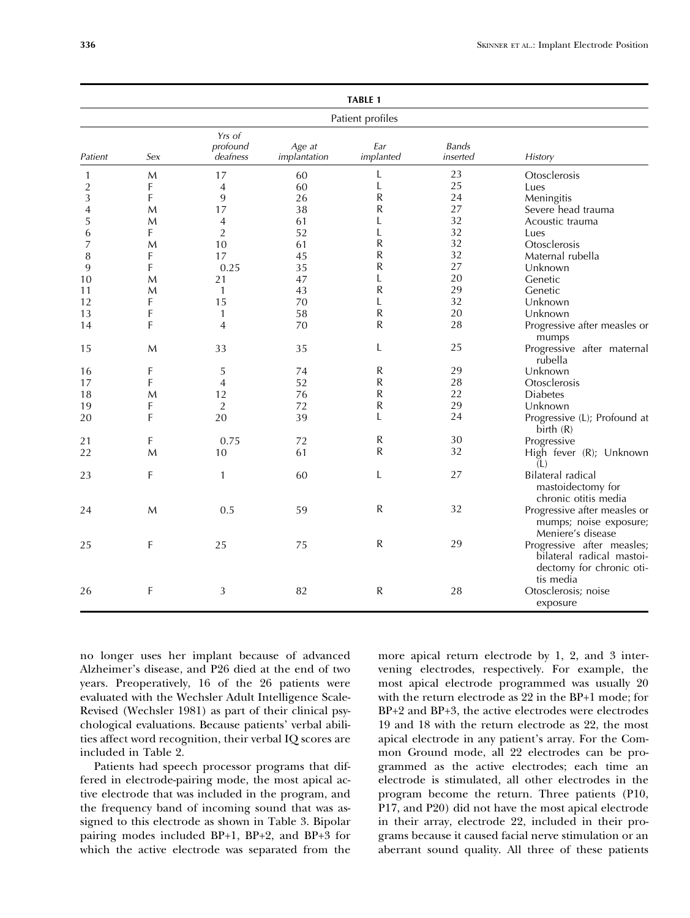| <b>TABLE 1</b> |                  |                                |                        |                  |                          |                                                                                                  |  |  |
|----------------|------------------|--------------------------------|------------------------|------------------|--------------------------|--------------------------------------------------------------------------------------------------|--|--|
|                | Patient profiles |                                |                        |                  |                          |                                                                                                  |  |  |
| Patient        | Sex              | Yrs of<br>profound<br>deafness | Age at<br>implantation | Ear<br>implanted | <b>Bands</b><br>inserted | History                                                                                          |  |  |
| $\mathbf{1}$   | M                | 17                             | 60                     | L                | 23                       | Otosclerosis                                                                                     |  |  |
| $\overline{2}$ | F                | $\overline{4}$                 | 60                     | L                | 25                       | Lues                                                                                             |  |  |
| 3              | F                | 9                              | 26                     | $\mathsf R$      | 24                       | Meningitis                                                                                       |  |  |
| 4              | M                | 17                             | 38                     | $\mathsf{R}$     | 27                       | Severe head trauma                                                                               |  |  |
| 5              | M                | 4                              | 61                     | L                | 32                       | Acoustic trauma                                                                                  |  |  |
| 6              | F                | $\overline{2}$                 | 52                     | L                | 32                       | Lues                                                                                             |  |  |
| $\overline{7}$ | M                | 10                             | 61                     | $\mathsf{R}$     | 32                       | Otosclerosis                                                                                     |  |  |
| 8              | F                | 17                             | 45                     | R                | 32                       | Maternal rubella                                                                                 |  |  |
| 9              | F                | 0.25                           | 35                     | ${\sf R}$        | 27                       | Unknown                                                                                          |  |  |
| 10             | M                | 21                             | 47                     | L                | 20                       | Genetic                                                                                          |  |  |
| 11             | M                | 1                              | 43                     | $\mathsf{R}$     | 29                       | Genetic                                                                                          |  |  |
| 12             | F                | 15                             | 70                     | L                | 32                       | Unknown                                                                                          |  |  |
| 13             | F                | 1                              | 58                     | $\mathsf R$      | 20                       | Unknown                                                                                          |  |  |
| 14             | F                | $\overline{4}$                 | 70                     | ${\sf R}$        | 28                       | Progressive after measles or<br>mumps                                                            |  |  |
| 15             | M                | 33                             | 35                     | L                | 25                       | Progressive after maternal<br>rubella                                                            |  |  |
| 16             | F                | 5                              | 74                     | $\mathsf R$      | 29                       | Unknown                                                                                          |  |  |
| 17             | F                | 4                              | 52                     | ${\sf R}$        | 28                       | Otosclerosis                                                                                     |  |  |
| 18             | M                | 12                             | 76                     | ${\sf R}$        | 22                       | <b>Diabetes</b>                                                                                  |  |  |
| 19             | F                | $\sqrt{2}$                     | 72                     | $\mathsf R$      | 29                       | Unknown                                                                                          |  |  |
| 20             | F                | 20                             | 39                     | L                | 24                       | Progressive (L); Profound at<br>birth(R)                                                         |  |  |
| 21             | F                | 0.75                           | 72                     | $\mathsf R$      | 30                       | Progressive                                                                                      |  |  |
| 22             | M                | 10                             | 61                     | ${\sf R}$        | 32                       | High fever (R); Unknown<br>(L)                                                                   |  |  |
| 23             | F                | 1                              | 60                     | L                | 27                       | Bilateral radical<br>mastoidectomy for<br>chronic otitis media                                   |  |  |
| 24             | M                | 0.5                            | 59                     | $\mathsf R$      | 32                       | Progressive after measles or<br>mumps; noise exposure;<br>Meniere's disease                      |  |  |
| 25             | F                | 25                             | 75                     | $\mathsf R$      | 29                       | Progressive after measles;<br>bilateral radical mastoi-<br>dectomy for chronic oti-<br>tis media |  |  |
| 26             | F                | 3                              | 82                     | ${\sf R}$        | 28                       | Otosclerosis; noise<br>exposure                                                                  |  |  |

no longer uses her implant because of advanced Alzheimer's disease, and P26 died at the end of two years. Preoperatively, 16 of the 26 patients were evaluated with the Wechsler Adult Intelligence Scale-Revised (Wechsler 1981) as part of their clinical psychological evaluations. Because patients' verbal abilities affect word recognition, their verbal IQ scores are included in Table 2.

Patients had speech processor programs that differed in electrode-pairing mode, the most apical active electrode that was included in the program, and the frequency band of incoming sound that was assigned to this electrode as shown in Table 3. Bipolar pairing modes included BP+1, BP+2, and BP+3 for which the active electrode was separated from the

more apical return electrode by 1, 2, and 3 intervening electrodes, respectively. For example, the most apical electrode programmed was usually 20 with the return electrode as 22 in the BP+1 mode; for BP+2 and BP+3, the active electrodes were electrodes 19 and 18 with the return electrode as 22, the most apical electrode in any patient's array. For the Common Ground mode, all 22 electrodes can be programmed as the active electrodes; each time an electrode is stimulated, all other electrodes in the program become the return. Three patients (P10, P17, and P20) did not have the most apical electrode in their array, electrode 22, included in their programs because it caused facial nerve stimulation or an aberrant sound quality. All three of these patients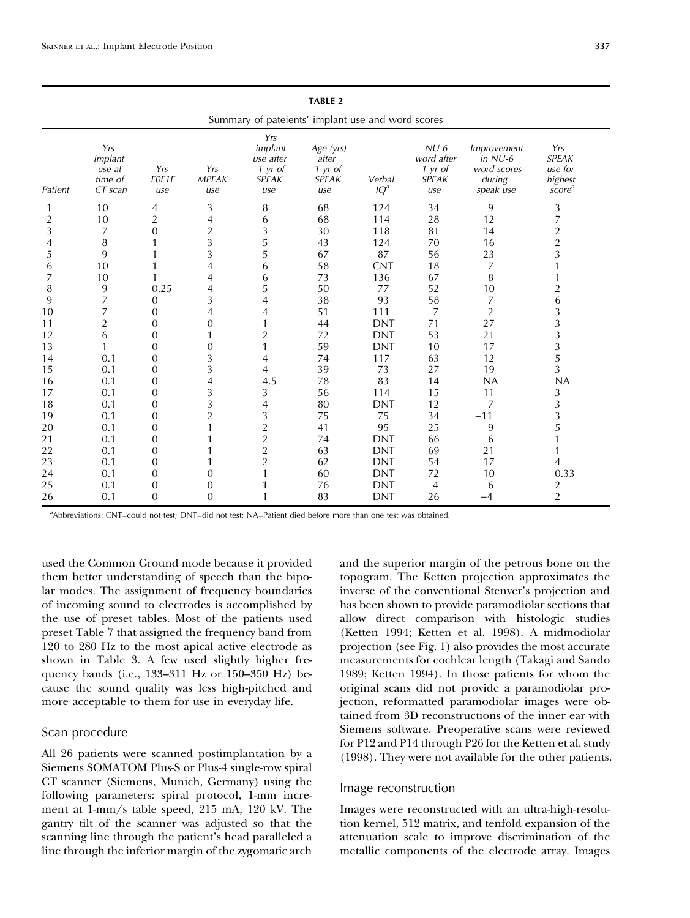| <b>TABLE 2</b> |                                                   |                     |                     |                                                               |                                                      |                  |                                                        |                                                                |                                                                 |
|----------------|---------------------------------------------------|---------------------|---------------------|---------------------------------------------------------------|------------------------------------------------------|------------------|--------------------------------------------------------|----------------------------------------------------------------|-----------------------------------------------------------------|
|                | Summary of pateients' implant use and word scores |                     |                     |                                                               |                                                      |                  |                                                        |                                                                |                                                                 |
| Patient        | Yrs<br>implant<br>use at<br>time of<br>CT scan    | Yrs<br>FOF1F<br>use | Yrs<br>MPEAK<br>use | Yrs<br>implant<br>use after<br>1 yr of<br><b>SPEAK</b><br>use | Age (yrs)<br>after<br>1 yr of<br><b>SPEAK</b><br>use | Verbal<br>$IQ^a$ | $NU-6$<br>word after<br>1 yr of<br><b>SPEAK</b><br>use | Improvement<br>in $NU-6$<br>word scores<br>during<br>speak use | Yrs<br><b>SPEAK</b><br>use for<br>highest<br>score <sup>a</sup> |
| 1              | 10                                                | 4                   | 3                   | 8                                                             | 68                                                   | 124              | 34                                                     | 9                                                              | $\sqrt{3}$                                                      |
| $\overline{2}$ | 10                                                | $\overline{2}$      | 4                   | 6                                                             | 68                                                   | 114              | 28                                                     | 12                                                             | 7                                                               |
| 3              | 7                                                 | $\overline{0}$      | $\overline{2}$      | 3                                                             | 30                                                   | 118              | 81                                                     | 14                                                             | $\overline{2}$                                                  |
| 4              | 8                                                 |                     | 3                   | 5                                                             | 43                                                   | 124              | 70                                                     | 16                                                             | $\overline{2}$                                                  |
| 5              | 9                                                 |                     | 3                   | 5                                                             | 67                                                   | 87               | 56                                                     | 23                                                             | 3                                                               |
| 6              | 10                                                |                     | 4                   | 6                                                             | 58                                                   | <b>CNT</b>       | 18                                                     | $\overline{7}$                                                 |                                                                 |
| 7              | 10                                                |                     | 4                   | 6                                                             | 73                                                   | 136              | 67                                                     | 8                                                              |                                                                 |
| 8              | 9                                                 | 0.25                | 4                   | 5                                                             | 50                                                   | 77               | 52                                                     | 10                                                             | $\overline{2}$                                                  |
| 9              | 7                                                 | $\Omega$            | 3                   | 4                                                             | 38                                                   | 93               | 58                                                     | $\overline{7}$                                                 | 6                                                               |
| 10             | 7                                                 | 0                   | 4                   | 4                                                             | 51                                                   | 111              | $\overline{7}$                                         | $\overline{2}$                                                 | 3                                                               |
| 11             | $\overline{2}$                                    | $\Omega$            | $\overline{0}$      |                                                               | 44                                                   | <b>DNT</b>       | 71                                                     | 27                                                             | 3                                                               |
| 12             | 6                                                 | $\Omega$            | 1                   | $\overline{2}$                                                | 72                                                   | <b>DNT</b>       | 53                                                     | 21                                                             | $\overline{3}$                                                  |
| 13             |                                                   | $\Omega$            | $\overline{0}$      |                                                               | 59                                                   | <b>DNT</b>       | 10                                                     | 17                                                             | 3                                                               |
| 14             | 0.1                                               | $\Omega$            | 3                   | 4                                                             | 74                                                   | 117              | 63                                                     | 12                                                             | 5                                                               |
| 15             | 0.1                                               | $\overline{0}$      | 3                   | 4                                                             | 39                                                   | 73               | 27                                                     | 19                                                             | 3                                                               |
| 16             | 0.1                                               | $\overline{0}$      | 4                   | 4.5                                                           | 78                                                   | 83               | 14                                                     | NA                                                             | NA                                                              |
| 17             | 0.1                                               | $\Omega$            | 3                   | 3                                                             | 56                                                   | 114              | 15                                                     | 11                                                             | $\mathfrak{Z}$                                                  |
| 18             | 0.1                                               | $\overline{0}$      | 3                   | 4                                                             | 80                                                   | <b>DNT</b>       | 12                                                     | $\overline{7}$                                                 | 3                                                               |
| 19             | 0.1                                               | $\overline{0}$      | $\overline{2}$      | 3                                                             | 75                                                   | 75               | 34                                                     | $-11$                                                          | 3                                                               |
| 20             | 0.1                                               | 0                   |                     | $\overline{2}$                                                | 41                                                   | 95               | 25                                                     | 9                                                              | 5                                                               |
| 21             | 0.1                                               | 0                   |                     | $\overline{2}$                                                | 74                                                   | <b>DNT</b>       | 66                                                     | 6                                                              |                                                                 |
| 22             | 0.1                                               | $\overline{0}$      |                     | $\overline{2}$                                                | 63                                                   | <b>DNT</b>       | 69                                                     | 21                                                             |                                                                 |
| 23             | 0.1                                               | 0                   |                     | $\overline{2}$                                                | 62                                                   | <b>DNT</b>       | 54                                                     | 17                                                             | 4                                                               |
| 24             | 0.1                                               | $\overline{0}$      | 0                   |                                                               | 60                                                   | <b>DNT</b>       | 72                                                     | 10                                                             | 0.33                                                            |
| 25             | 0.1                                               | $\overline{0}$      | $\boldsymbol{0}$    |                                                               | 76                                                   | <b>DNT</b>       | $\overline{4}$                                         | 6                                                              | $\sqrt{2}$                                                      |
| 26             | 0.1                                               | $\Omega$            | $\overline{0}$      |                                                               | 83                                                   | <b>DNT</b>       | 26                                                     | $-4$                                                           | $\overline{2}$                                                  |

<sup>a</sup>Abbreviations: CNT=could not test; DNT=did not test; NA=Patient died before more than one test was obtained.

used the Common Ground mode because it provided them better understanding of speech than the bipolar modes. The assignment of frequency boundaries of incoming sound to electrodes is accomplished by the use of preset tables. Most of the patients used preset Table 7 that assigned the frequency band from 120 to 280 Hz to the most apical active electrode as shown in Table 3. A few used slightly higher frequency bands (i.e., 133-311 Hz or 150-350 Hz) because the sound quality was less high-pitched and more acceptable to them for use in everyday life.

## Scan procedure

All 26 patients were scanned postimplantation by a Siemens SOMATOM Plus-S or Plus-4 single-row spiral CT scanner (Siemens, Munich, Germany) using the following parameters: spiral protocol, 1-mm increment at 1-mm/s table speed, 215 mA, 120 kV. The gantry tilt of the scanner was adjusted so that the scanning line through the patient's head paralleled a line through the inferior margin of the zygomatic arch and the superior margin of the petrous bone on the topogram. The Ketten projection approximates the inverse of the conventional Stenver's projection and has been shown to provide paramodiolar sections that allow direct comparison with histologic studies (Ketten 1994; Ketten et al. 1998). A midmodiolar projection (see Fig. 1) also provides the most accurate measurements for cochlear length (Takagi and Sando 1989; Ketten 1994). In those patients for whom the original scans did not provide a paramodiolar projection, reformatted paramodiolar images were obtained from 3D reconstructions of the inner ear with Siemens software. Preoperative scans were reviewed for P12 and P14 through P26 for the Ketten et al. study (1998). They were not available for the other patients.

#### Image reconstruction

Images were reconstructed with an ultra-high-resolution kernel, 512 matrix, and tenfold expansion of the attenuation scale to improve discrimination of the metallic components of the electrode array. Images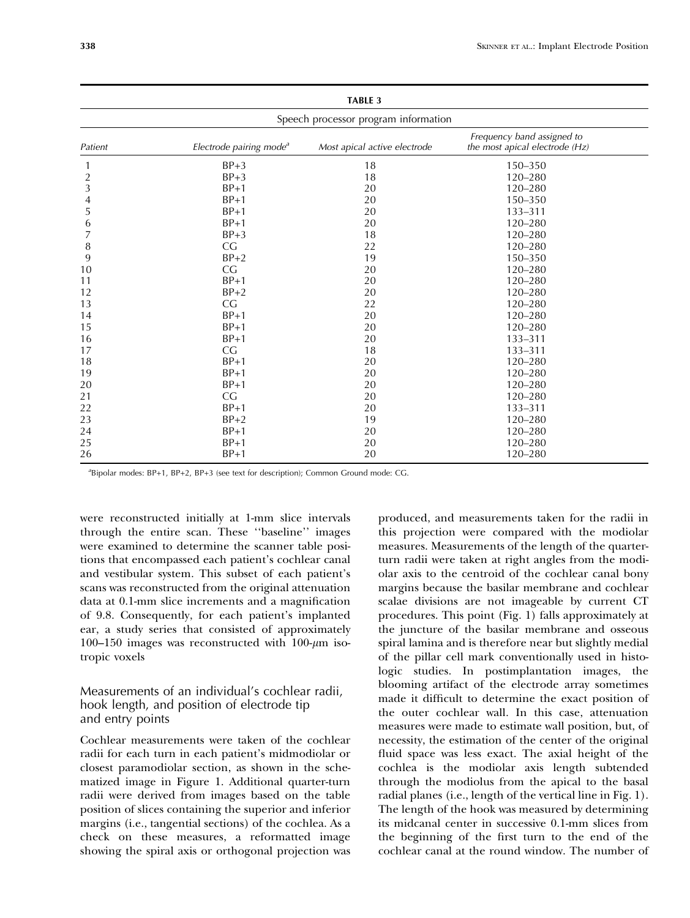| <b>TABLE 3</b>                       |                                     |                              |                                                              |  |  |  |  |  |
|--------------------------------------|-------------------------------------|------------------------------|--------------------------------------------------------------|--|--|--|--|--|
| Speech processor program information |                                     |                              |                                                              |  |  |  |  |  |
| Patient                              | Electrode pairing mode <sup>a</sup> | Most apical active electrode | Frequency band assigned to<br>the most apical electrode (Hz) |  |  |  |  |  |
| 1                                    | $BP+3$                              | 18                           | 150-350                                                      |  |  |  |  |  |
| $\overline{2}$                       | $BP+3$                              | 18                           | $120 - 280$                                                  |  |  |  |  |  |
| 3                                    | $BP+1$                              | 20                           | $120 - 280$                                                  |  |  |  |  |  |
| 4                                    | $BP+1$                              | 20                           | 150-350                                                      |  |  |  |  |  |
| 5                                    | $BP+1$                              | 20                           | $133 - 311$                                                  |  |  |  |  |  |
| 6                                    | $BP+1$                              | 20                           | 120-280                                                      |  |  |  |  |  |
| 7                                    | $BP+3$                              | 18                           | 120-280                                                      |  |  |  |  |  |
| 8                                    | CG                                  | 22                           | $120 - 280$                                                  |  |  |  |  |  |
| 9                                    | $BP+2$                              | 19                           | 150-350                                                      |  |  |  |  |  |
| 10                                   | CG                                  | 20                           | $120 - 280$                                                  |  |  |  |  |  |
| 11                                   | $BP+1$                              | 20                           | 120-280                                                      |  |  |  |  |  |
| 12                                   | $BP+2$                              | 20                           | $120 - 280$                                                  |  |  |  |  |  |
| 13                                   | CG                                  | 22                           | $120 - 280$                                                  |  |  |  |  |  |
| 14                                   | $BP+1$                              | 20                           | $120 - 280$                                                  |  |  |  |  |  |
| 15                                   | $BP+1$                              | 20                           | $120 - 280$                                                  |  |  |  |  |  |
| 16                                   | $BP+1$                              | 20                           | $133 - 311$                                                  |  |  |  |  |  |
| 17                                   | CG                                  | 18                           | $133 - 311$                                                  |  |  |  |  |  |
| 18                                   | $BP+1$                              | 20                           | 120-280                                                      |  |  |  |  |  |
| 19                                   | $BP+1$                              | 20                           | 120-280                                                      |  |  |  |  |  |
| 20                                   | $BP+1$                              | 20                           | $120 - 280$                                                  |  |  |  |  |  |
| 21                                   | CG                                  | 20                           | 120-280                                                      |  |  |  |  |  |
| 22                                   | $BP+1$                              | 20                           | 133-311                                                      |  |  |  |  |  |
| 23                                   | $BP+2$                              | 19                           | $120 - 280$                                                  |  |  |  |  |  |
| 24                                   | $BP+1$                              | 20                           | $120 - 280$                                                  |  |  |  |  |  |
| 25                                   | $BP+1$                              | 20                           | $120 - 280$                                                  |  |  |  |  |  |
| 26                                   | $BP+1$                              | 20                           | 120-280                                                      |  |  |  |  |  |

<sup>a</sup>Bipolar modes: BP+1, BP+2, BP+3 (see text for description); Common Ground mode: CG.

were reconstructed initially at 1-mm slice intervals through the entire scan. These "baseline" images were examined to determine the scanner table positions that encompassed each patient's cochlear canal and vestibular system. This subset of each patient's scans was reconstructed from the original attenuation data at 0.1-mm slice increments and a magnification of 9.8. Consequently, for each patient's implanted ear, a study series that consisted of approximately 100–150 images was reconstructed with 100- $\mu$ m isotropic voxels

Measurements of an individual's cochlear radii, hook length, and position of electrode tip and entry points

Cochlear measurements were taken of the cochlear radii for each turn in each patient's midmodiolar or closest paramodiolar section, as shown in the schematized image in Figure 1. Additional quarter-turn radii were derived from images based on the table position of slices containing the superior and inferior margins (i.e., tangential sections) of the cochlea. As a check on these measures, a reformatted image showing the spiral axis or orthogonal projection was

produced, and measurements taken for the radii in this projection were compared with the modiolar measures. Measurements of the length of the quarterturn radii were taken at right angles from the modiolar axis to the centroid of the cochlear canal bony margins because the basilar membrane and cochlear scalae divisions are not imageable by current CT procedures. This point (Fig. 1) falls approximately at the juncture of the basilar membrane and osseous spiral lamina and is therefore near but slightly medial of the pillar cell mark conventionally used in histologic studies. In postimplantation images, the blooming artifact of the electrode array sometimes made it difficult to determine the exact position of the outer cochlear wall. In this case, attenuation measures were made to estimate wall position, but, of necessity, the estimation of the center of the original fluid space was less exact. The axial height of the cochlea is the modiolar axis length subtended through the modiolus from the apical to the basal radial planes (i.e., length of the vertical line in Fig. 1). The length of the hook was measured by determining its midcanal center in successive 0.1-mm slices from the beginning of the first turn to the end of the cochlear canal at the round window. The number of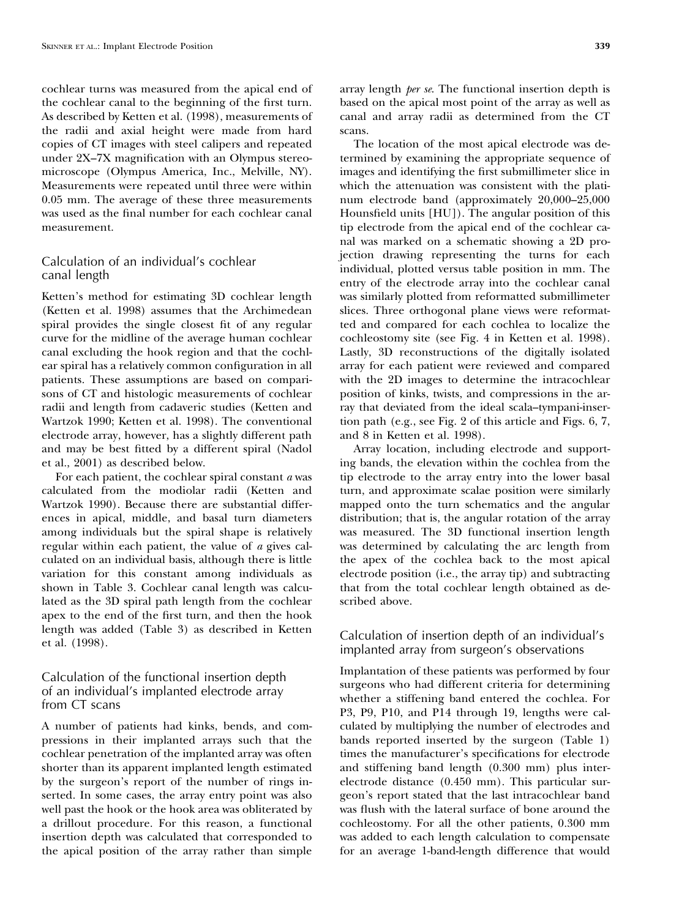cochlear turns was measured from the apical end of the cochlear canal to the beginning of the first turn. As described by Ketten et al. (1998), measurements of the radii and axial height were made from hard copies of CT images with steel calipers and repeated under 2X-7X magnification with an Olympus stereomicroscope (Olympus America, Inc., Melville, NY). Measurements were repeated until three were within 0.05 mm. The average of these three measurements was used as the final number for each cochlear canal measurement.

## Calculation of an individual's cochlear canal length

Ketten's method for estimating 3D cochlear length (Ketten et al. 1998) assumes that the Archimedean spiral provides the single closest fit of any regular curve for the midline of the average human cochlear canal excluding the hook region and that the cochlear spiral has a relatively common configuration in all patients. These assumptions are based on comparisons of CT and histologic measurements of cochlear radii and length from cadaveric studies (Ketten and Wartzok 1990; Ketten et al. 1998). The conventional electrode array, however, has a slightly different path and may be best fitted by a different spiral (Nadol et al., 2001) as described below.

For each patient, the cochlear spiral constant  $a$  was calculated from the modiolar radii (Ketten and Wartzok 1990). Because there are substantial differences in apical, middle, and basal turn diameters among individuals but the spiral shape is relatively regular within each patient, the value of  $a$  gives calculated on an individual basis, although there is little variation for this constant among individuals as shown in Table 3. Cochlear canal length was calculated as the 3D spiral path length from the cochlear apex to the end of the first turn, and then the hook length was added (Table 3) as described in Ketten et al. (1998).

## Calculation of the functional insertion depth of an individual's implanted electrode array from CT scans

A number of patients had kinks, bends, and compressions in their implanted arrays such that the cochlear penetration of the implanted array was often shorter than its apparent implanted length estimated by the surgeon's report of the number of rings inserted. In some cases, the array entry point was also well past the hook or the hook area was obliterated by a drillout procedure. For this reason, a functional insertion depth was calculated that corresponded to the apical position of the array rather than simple

array length *per se*. The functional insertion depth is based on the apical most point of the array as well as canal and array radii as determined from the CT scans.

The location of the most apical electrode was determined by examining the appropriate sequence of images and identifying the first submillimeter slice in which the attenuation was consistent with the platinum electrode band (approximately 20,000-25,000 Hounsfield units [HU]). The angular position of this tip electrode from the apical end of the cochlear canal was marked on a schematic showing a 2D projection drawing representing the turns for each individual, plotted versus table position in mm. The entry of the electrode array into the cochlear canal was similarly plotted from reformatted submillimeter slices. Three orthogonal plane views were reformatted and compared for each cochlea to localize the cochleostomy site (see Fig. 4 in Ketten et al. 1998). Lastly, 3D reconstructions of the digitally isolated array for each patient were reviewed and compared with the 2D images to determine the intracochlear position of kinks, twists, and compressions in the array that deviated from the ideal scala-tympani-insertion path (e.g., see Fig. 2 of this article and Figs. 6, 7, and 8 in Ketten et al. 1998).

Array location, including electrode and supporting bands, the elevation within the cochlea from the tip electrode to the array entry into the lower basal turn, and approximate scalae position were similarly mapped onto the turn schematics and the angular distribution; that is, the angular rotation of the array was measured. The 3D functional insertion length was determined by calculating the arc length from the apex of the cochlea back to the most apical electrode position (i.e., the array tip) and subtracting that from the total cochlear length obtained as described above.

## Calculation of insertion depth of an individual's implanted array from surgeon's observations

Implantation of these patients was performed by four surgeons who had different criteria for determining whether a stiffening band entered the cochlea. For P3, P9, P10, and P14 through 19, lengths were calculated by multiplying the number of electrodes and bands reported inserted by the surgeon (Table 1) times the manufacturer's specifications for electrode and stiffening band length (0.300 mm) plus interelectrode distance (0.450 mm). This particular surgeon's report stated that the last intracochlear band was flush with the lateral surface of bone around the cochleostomy. For all the other patients, 0.300 mm was added to each length calculation to compensate for an average 1-band-length difference that would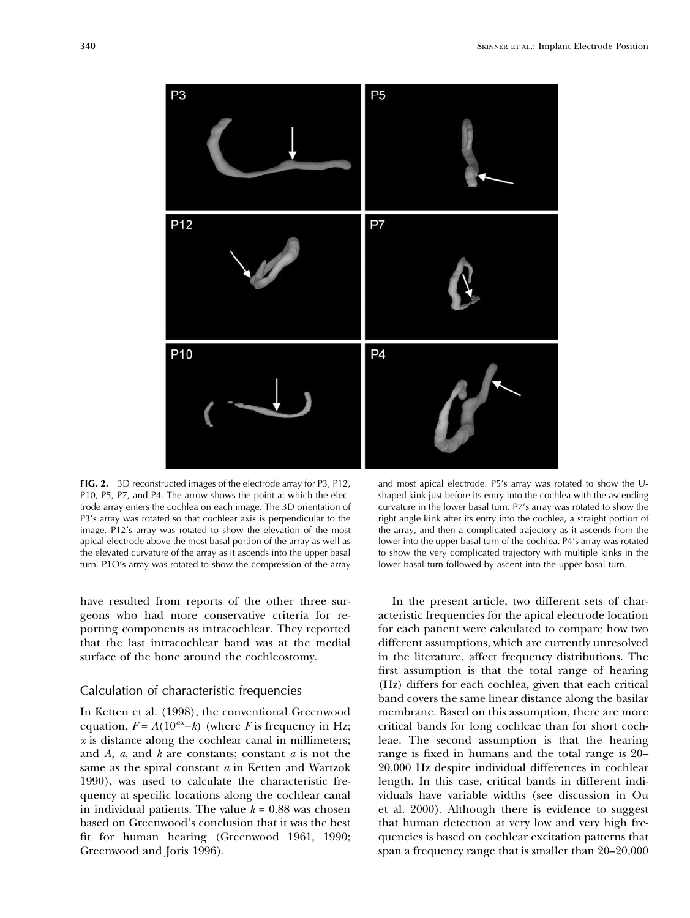

FIG. 2. 3D reconstructed images of the electrode array for P3, P12, P10, P5, P7, and P4. The arrow shows the point at which the electrode array enters the cochlea on each image. The 3D orientation of P3's array was rotated so that cochlear axis is perpendicular to the image. P12's array was rotated to show the elevation of the most apical electrode above the most basal portion of the array as well as the elevated curvature of the array as it ascends into the upper basal turn. P1O's array was rotated to show the compression of the array

have resulted from reports of the other three surgeons who had more conservative criteria for reporting components as intracochlear. They reported that the last intracochlear band was at the medial surface of the bone around the cochleostomy.

#### Calculation of characteristic frequencies

In Ketten et al. (1998), the conventional Greenwood equation,  $F = A(10^{ax} - k)$  (where *F* is frequency in Hz;  $x$  is distance along the cochlear canal in millimeters; and  $A$ ,  $a$ , and  $k$  are constants; constant  $a$  is not the same as the spiral constant a in Ketten and Wartzok 1990), was used to calculate the characteristic frequency at specific locations along the cochlear canal in individual patients. The value  $k = 0.88$  was chosen based on Greenwood's conclusion that it was the best fit for human hearing (Greenwood 1961, 1990; Greenwood and Joris 1996).

and most apical electrode. P5's array was rotated to show the Ushaped kink just before its entry into the cochlea with the ascending curvature in the lower basal turn. P7's array was rotated to show the right angle kink after its entry into the cochlea, a straight portion of the array, and then a complicated trajectory as it ascends from the lower into the upper basal turn of the cochlea. P4's array was rotated to show the very complicated trajectory with multiple kinks in the lower basal turn followed by ascent into the upper basal turn.

In the present article, two different sets of characteristic frequencies for the apical electrode location for each patient were calculated to compare how two different assumptions, which are currently unresolved in the literature, affect frequency distributions. The first assumption is that the total range of hearing (Hz) differs for each cochlea, given that each critical band covers the same linear distance along the basilar membrane. Based on this assumption, there are more critical bands for long cochleae than for short cochleae. The second assumption is that the hearing range is fixed in humans and the total range is 20– 20,000 Hz despite individual differences in cochlear length. In this case, critical bands in different individuals have variable widths (see discussion in Ou et al. 2000). Although there is evidence to suggest that human detection at very low and very high frequencies is based on cochlear excitation patterns that span a frequency range that is smaller than 20–20,000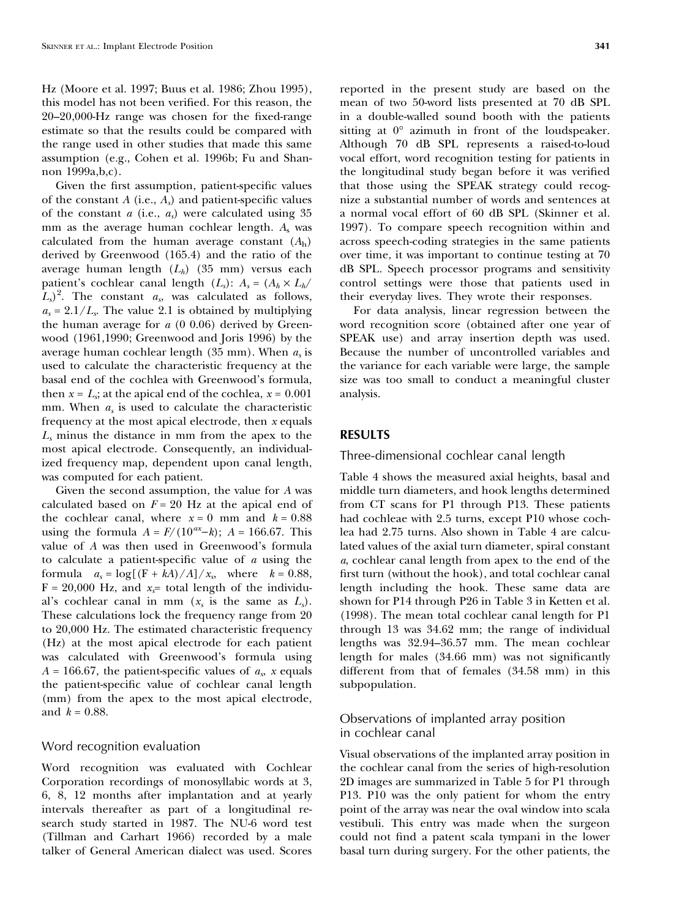Hz (Moore et al. 1997; Buus et al. 1986; Zhou 1995), this model has not been verified. For this reason, the  $20-20,000$ -Hz range was chosen for the fixed-range estimate so that the results could be compared with the range used in other studies that made this same assumption (e.g., Cohen et al. 1996b; Fu and Shannon 1999a,b,c).

Given the first assumption, patient-specific values of the constant  $A$  (i.e.,  $A_s$ ) and patient-specific values of the constant  $a$  (i.e.,  $a_s$ ) were calculated using 35 mm as the average human cochlear length.  $A_s$  was calculated from the human average constant  $(A_h)$ derived by Greenwood (165.4) and the ratio of the average human length  $(L_h)$  (35 mm) versus each patient's cochlear canal length  $(L_s)$ :  $A_s = (A_h \times L_h)$  $L_s$ <sup>2</sup>. The constant  $a_s$ , was calculated as follows,  $a_s = 2.1/L_s$ . The value 2.1 is obtained by multiplying the human average for  $a$  (0 0.06) derived by Greenwood (1961,1990; Greenwood and Joris 1996) by the average human cochlear length (35 mm). When  $a<sub>s</sub>$  is used to calculate the characteristic frequency at the basal end of the cochlea with Greenwood's formula, then  $x = L_s$ ; at the apical end of the cochlea,  $x = 0.001$ mm. When  $a_s$  is used to calculate the characteristic frequency at the most apical electrode, then  $x$  equals  $L_s$  minus the distance in mm from the apex to the most apical electrode. Consequently, an individualized frequency map, dependent upon canal length, was computed for each patient.

Given the second assumption, the value for  $A$  was calculated based on  $F = 20$  Hz at the apical end of the cochlear canal, where  $x = 0$  mm and  $k = 0.88$ using the formula  $A = F/(10^{ax}-k)$ ;  $A = 166.67$ . This value of A was then used in Greenwood's formula to calculate a patient-specific value of  $a$  using the formula  $a_s = \log[(F + kA)/A]/x_s$ , where  $k = 0.88$ ,  $F = 20,000$  Hz, and  $x_s$  total length of the individual's cochlear canal in mm  $(x_s$  is the same as  $L_s$ . These calculations lock the frequency range from 20 to 20,000 Hz. The estimated characteristic frequency (Hz) at the most apical electrode for each patient was calculated with Greenwood's formula using  $A = 166.67$ , the patient-specific values of  $a_s$ , x equals the patient-specific value of cochlear canal length (mm) from the apex to the most apical electrode, and  $k = 0.88$ .

#### Word recognition evaluation

Word recognition was evaluated with Cochlear Corporation recordings of monosyllabic words at 3, 6, 8, 12 months after implantation and at yearly intervals thereafter as part of a longitudinal research study started in 1987. The NU-6 word test (Tillman and Carhart 1966) recorded by a male talker of General American dialect was used. Scores

reported in the present study are based on the mean of two 50-word lists presented at 70 dB SPL in a double-walled sound booth with the patients sitting at  $0^{\circ}$  azimuth in front of the loudspeaker. Although 70 dB SPL represents a raised-to-loud vocal effort, word recognition testing for patients in the longitudinal study began before it was verified that those using the SPEAK strategy could recognize a substantial number of words and sentences at a normal vocal effort of 60 dB SPL (Skinner et al. 1997). To compare speech recognition within and across speech-coding strategies in the same patients over time, it was important to continue testing at 70 dB SPL. Speech processor programs and sensitivity control settings were those that patients used in their everyday lives. They wrote their responses.

For data analysis, linear regression between the word recognition score (obtained after one year of SPEAK use) and array insertion depth was used. Because the number of uncontrolled variables and the variance for each variable were large, the sample size was too small to conduct a meaningful cluster analysis.

## **RESULTS**

#### Three-dimensional cochlear canal length

Table 4 shows the measured axial heights, basal and middle turn diameters, and hook lengths determined from CT scans for P1 through P13. These patients had cochleae with 2.5 turns, except P10 whose cochlea had 2.75 turns. Also shown in Table 4 are calculated values of the axial turn diameter, spiral constant a, cochlear canal length from apex to the end of the first turn (without the hook), and total cochlear canal length including the hook. These same data are shown for P14 through P26 in Table 3 in Ketten et al. (1998). The mean total cochlear canal length for P1 through 13 was 34.62 mm; the range of individual lengths was 32.94-36.57 mm. The mean cochlear length for males (34.66 mm) was not significantly different from that of females (34.58 mm) in this subpopulation.

## Observations of implanted array position in cochlear canal

Visual observations of the implanted array position in the cochlear canal from the series of high-resolution 2D images are summarized in Table 5 for P1 through P13. P10 was the only patient for whom the entry point of the array was near the oval window into scala vestibuli. This entry was made when the surgeon could not find a patent scala tympani in the lower basal turn during surgery. For the other patients, the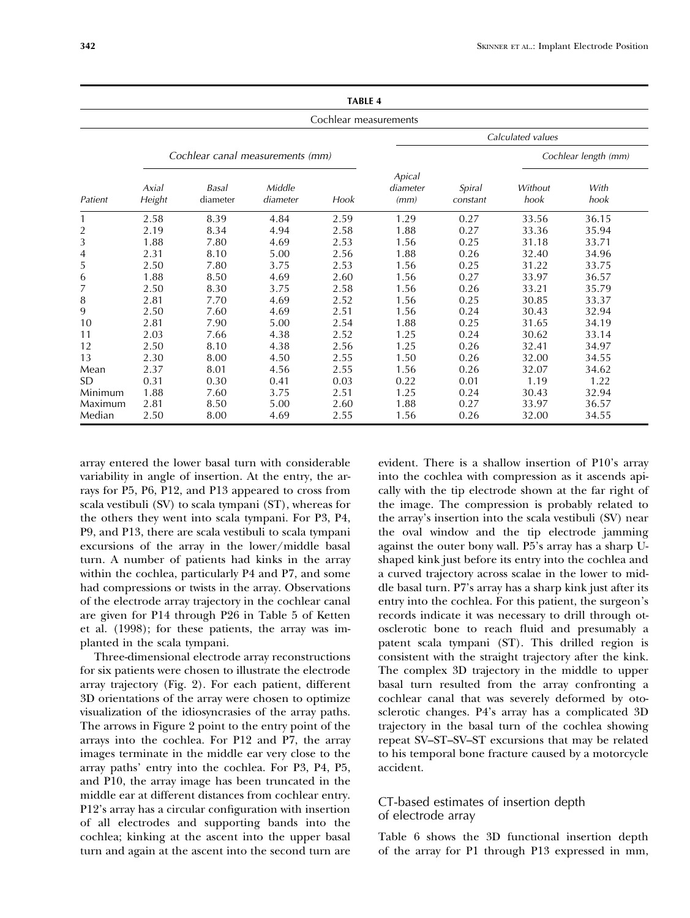|                | <b>TABLE 4</b>        |                   |                                  |      |                            |                    |                 |                      |  |  |
|----------------|-----------------------|-------------------|----------------------------------|------|----------------------------|--------------------|-----------------|----------------------|--|--|
|                | Cochlear measurements |                   |                                  |      |                            |                    |                 |                      |  |  |
|                |                       |                   |                                  |      | Calculated values          |                    |                 |                      |  |  |
|                |                       |                   | Cochlear canal measurements (mm) |      |                            |                    |                 | Cochlear length (mm) |  |  |
| Patient        | Axial<br>Height       | Basal<br>diameter | Middle<br>diameter               | Hook | Apical<br>diameter<br>(mm) | Spiral<br>constant | Without<br>hook | With<br>hook         |  |  |
| 1              | 2.58                  | 8.39              | 4.84                             | 2.59 | 1.29                       | 0.27               | 33.56           | 36.15                |  |  |
| $\overline{2}$ | 2.19                  | 8.34              | 4.94                             | 2.58 | 1.88                       | 0.27               | 33.36           | 35.94                |  |  |
| 3              | 1.88                  | 7.80              | 4.69                             | 2.53 | 1.56                       | 0.25               | 31.18           | 33.71                |  |  |
| 4              | 2.31                  | 8.10              | 5.00                             | 2.56 | 1.88                       | 0.26               | 32.40           | 34.96                |  |  |
| 5              | 2.50                  | 7.80              | 3.75                             | 2.53 | 1.56                       | 0.25               | 31.22           | 33.75                |  |  |
| 6              | 1.88                  | 8.50              | 4.69                             | 2.60 | 1.56                       | 0.27               | 33.97           | 36.57                |  |  |
| 7              | 2.50                  | 8.30              | 3.75                             | 2.58 | 1.56                       | 0.26               | 33.21           | 35.79                |  |  |
| 8              | 2.81                  | 7.70              | 4.69                             | 2.52 | 1.56                       | 0.25               | 30.85           | 33.37                |  |  |
| 9              | 2.50                  | 7.60              | 4.69                             | 2.51 | 1.56                       | 0.24               | 30.43           | 32.94                |  |  |
| 10             | 2.81                  | 7.90              | 5.00                             | 2.54 | 1.88                       | 0.25               | 31.65           | 34.19                |  |  |
| 11             | 2.03                  | 7.66              | 4.38                             | 2.52 | 1.25                       | 0.24               | 30.62           | 33.14                |  |  |
| 12             | 2.50                  | 8.10              | 4.38                             | 2.56 | 1.25                       | 0.26               | 32.41           | 34.97                |  |  |
| 13             | 2.30                  | 8.00              | 4.50                             | 2.55 | 1.50                       | 0.26               | 32.00           | 34.55                |  |  |
| Mean           | 2.37                  | 8.01              | 4.56                             | 2.55 | 1.56                       | 0.26               | 32.07           | 34.62                |  |  |
| SD             | 0.31                  | 0.30              | 0.41                             | 0.03 | 0.22                       | 0.01               | 1.19            | 1.22                 |  |  |
| Minimum        | 1.88                  | 7.60              | 3.75                             | 2.51 | 1.25                       | 0.24               | 30.43           | 32.94                |  |  |
| Maximum        | 2.81                  | 8.50              | 5.00                             | 2.60 | 1.88                       | 0.27               | 33.97           | 36.57                |  |  |
| Median         | 2.50                  | 8.00              | 4.69                             | 2.55 | 1.56                       | 0.26               | 32.00           | 34.55                |  |  |

array entered the lower basal turn with considerable variability in angle of insertion. At the entry, the arrays for P5, P6, P12, and P13 appeared to cross from scala vestibuli (SV) to scala tympani (ST), whereas for the others they went into scala tympani. For P3, P4, P9, and P13, there are scala vestibuli to scala tympani excursions of the array in the lower/middle basal turn. A number of patients had kinks in the array within the cochlea, particularly P4 and P7, and some had compressions or twists in the array. Observations of the electrode array trajectory in the cochlear canal are given for P14 through P26 in Table 5 of Ketten et al. (1998); for these patients, the array was implanted in the scala tympani.

Three-dimensional electrode array reconstructions for six patients were chosen to illustrate the electrode array trajectory (Fig. 2). For each patient, different 3D orientations of the array were chosen to optimize visualization of the idiosyncrasies of the array paths. The arrows in Figure 2 point to the entry point of the arrays into the cochlea. For P12 and P7, the array images terminate in the middle ear very close to the array paths' entry into the cochlea. For P3, P4, P5, and P10, the array image has been truncated in the middle ear at different distances from cochlear entry. P12's array has a circular configuration with insertion of all electrodes and supporting bands into the cochlea; kinking at the ascent into the upper basal turn and again at the ascent into the second turn are

evident. There is a shallow insertion of P10's array into the cochlea with compression as it ascends apically with the tip electrode shown at the far right of the image. The compression is probably related to the array's insertion into the scala vestibuli (SV) near the oval window and the tip electrode jamming against the outer bony wall. P5's array has a sharp Ushaped kink just before its entry into the cochlea and a curved trajectory across scalae in the lower to middle basal turn. P7's array has a sharp kink just after its entry into the cochlea. For this patient, the surgeon's records indicate it was necessary to drill through otosclerotic bone to reach fluid and presumably a patent scala tympani (ST). This drilled region is consistent with the straight trajectory after the kink. The complex 3D trajectory in the middle to upper basal turn resulted from the array confronting a cochlear canal that was severely deformed by otosclerotic changes. P4's array has a complicated 3D trajectory in the basal turn of the cochlea showing repeat SV-ST-SV-ST excursions that may be related to his temporal bone fracture caused by a motorcycle accident.

## CT-based estimates of insertion depth of electrode array

Table 6 shows the 3D functional insertion depth of the array for P1 through P13 expressed in mm,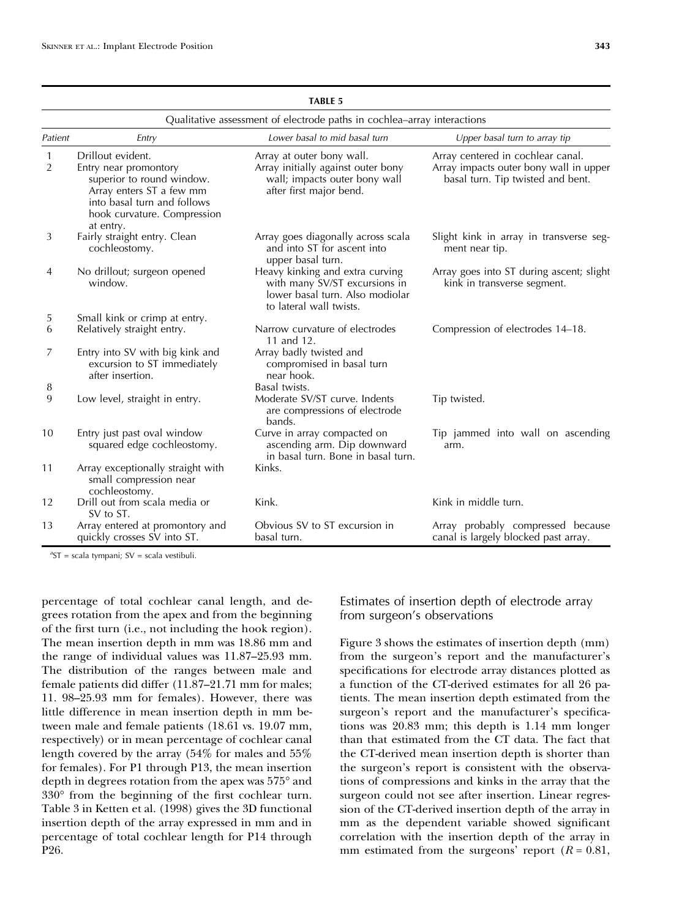|                     |                                                                                                                                                                                | <b>TABLE 5</b>                                                                                                                 |                                                                                                                  |
|---------------------|--------------------------------------------------------------------------------------------------------------------------------------------------------------------------------|--------------------------------------------------------------------------------------------------------------------------------|------------------------------------------------------------------------------------------------------------------|
|                     |                                                                                                                                                                                | Qualitative assessment of electrode paths in cochlea-array interactions                                                        |                                                                                                                  |
| Patient             | Entry                                                                                                                                                                          | Lower basal to mid basal turn                                                                                                  | Upper basal turn to array tip                                                                                    |
| 1<br>$\overline{2}$ | Drillout evident.<br>Entry near promontory<br>superior to round window.<br>Array enters ST a few mm<br>into basal turn and follows<br>hook curvature. Compression<br>at entry. | Array at outer bony wall.<br>Array initially against outer bony<br>wall; impacts outer bony wall<br>after first major bend.    | Array centered in cochlear canal.<br>Array impacts outer bony wall in upper<br>basal turn. Tip twisted and bent. |
| 3                   | Fairly straight entry. Clean<br>cochleostomy.                                                                                                                                  | Array goes diagonally across scala<br>and into ST for ascent into<br>upper basal turn.                                         | Slight kink in array in transverse seg-<br>ment near tip.                                                        |
| 4                   | No drillout; surgeon opened<br>window.                                                                                                                                         | Heavy kinking and extra curving<br>with many SV/ST excursions in<br>lower basal turn. Also modiolar<br>to lateral wall twists. | Array goes into ST during ascent; slight<br>kink in transverse segment.                                          |
| 5                   | Small kink or crimp at entry.                                                                                                                                                  |                                                                                                                                |                                                                                                                  |
| 6                   | Relatively straight entry.                                                                                                                                                     | Narrow curvature of electrodes<br>11 and 12.                                                                                   | Compression of electrodes 14-18.                                                                                 |
| 7                   | Entry into SV with big kink and<br>excursion to ST immediately<br>after insertion.                                                                                             | Array badly twisted and<br>compromised in basal turn<br>near hook.                                                             |                                                                                                                  |
| 8                   |                                                                                                                                                                                | Basal twists.                                                                                                                  |                                                                                                                  |
| 9                   | Low level, straight in entry.                                                                                                                                                  | Moderate SV/ST curve. Indents<br>are compressions of electrode<br>bands.                                                       | Tip twisted.                                                                                                     |
| 10                  | Entry just past oval window<br>squared edge cochleostomy.                                                                                                                      | Curve in array compacted on<br>ascending arm. Dip downward<br>in basal turn. Bone in basal turn.                               | Tip jammed into wall on ascending<br>arm.                                                                        |
| 11                  | Array exceptionally straight with<br>small compression near<br>cochleostomy.                                                                                                   | Kinks.                                                                                                                         |                                                                                                                  |
| 12                  | Drill out from scala media or<br>SV to ST.                                                                                                                                     | Kink.                                                                                                                          | Kink in middle turn.                                                                                             |
| 13                  | Array entered at promontory and<br>quickly crosses SV into ST.                                                                                                                 | Obvious SV to ST excursion in<br>basal turn.                                                                                   | Array probably compressed because<br>canal is largely blocked past array.                                        |

 ${}^{a}ST$  = scala tympani; SV = scala vestibuli.

percentage of total cochlear canal length, and degrees rotation from the apex and from the beginning of the first turn (i.e., not including the hook region). The mean insertion depth in mm was 18.86 mm and the range of individual values was 11.87-25.93 mm. The distribution of the ranges between male and female patients did differ (11.87-21.71 mm for males; 11. 98-25.93 mm for females). However, there was little difference in mean insertion depth in mm between male and female patients (18.61 vs. 19.07 mm, respectively) or in mean percentage of cochlear canal length covered by the array  $(54\%$  for males and  $55\%$ for females). For P1 through P13, the mean insertion depth in degrees rotation from the apex was 575° and  $330^\circ$  from the beginning of the first cochlear turn. Table 3 in Ketten et al. (1998) gives the 3D functional insertion depth of the array expressed in mm and in percentage of total cochlear length for P14 through P<sub>26</sub>.

Estimates of insertion depth of electrode array from surgeon's observations

Figure 3 shows the estimates of insertion depth (mm) from the surgeon's report and the manufacturer's specifications for electrode array distances plotted as a function of the CT-derived estimates for all 26 patients. The mean insertion depth estimated from the surgeon's report and the manufacturer's specifications was 20.83 mm; this depth is 1.14 mm longer than that estimated from the CT data. The fact that the CT-derived mean insertion depth is shorter than the surgeon's report is consistent with the observations of compressions and kinks in the array that the surgeon could not see after insertion. Linear regression of the CT-derived insertion depth of the array in mm as the dependent variable showed significant correlation with the insertion depth of the array in mm estimated from the surgeons' report  $(R = 0.81,$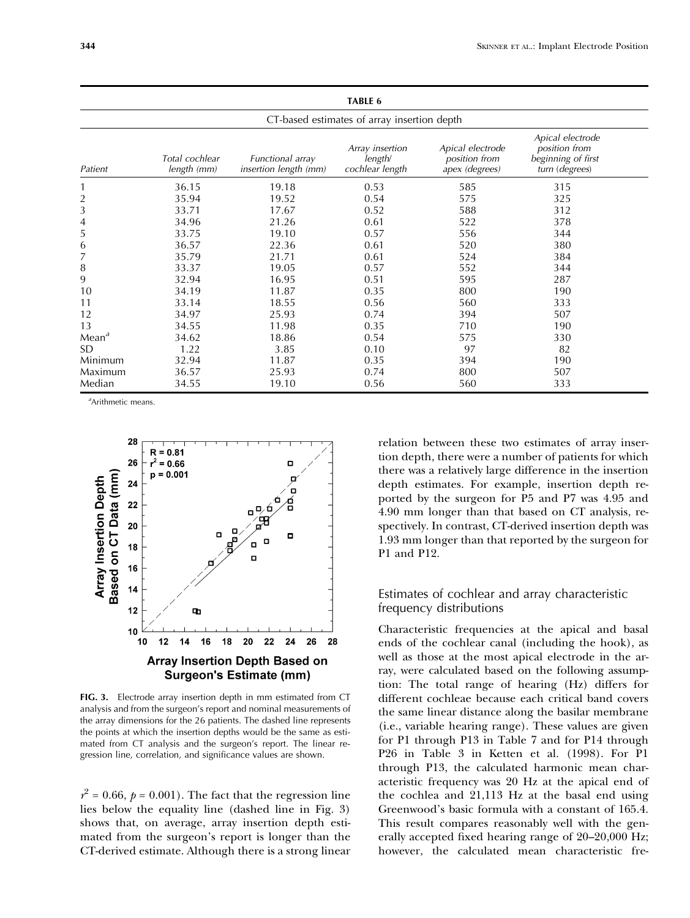|                                             |                               |                                           | <b>TABLE 6</b>                                |                                                     |                                                                           |  |
|---------------------------------------------|-------------------------------|-------------------------------------------|-----------------------------------------------|-----------------------------------------------------|---------------------------------------------------------------------------|--|
| CT-based estimates of array insertion depth |                               |                                           |                                               |                                                     |                                                                           |  |
| Patient                                     | Total cochlear<br>length (mm) | Functional array<br>insertion length (mm) | Array insertion<br>length/<br>cochlear length | Apical electrode<br>position from<br>apex (degrees) | Apical electrode<br>position from<br>beginning of first<br>turn (degrees) |  |
| 1                                           | 36.15                         | 19.18                                     | 0.53                                          | 585                                                 | 315                                                                       |  |
| $\overline{2}$                              | 35.94                         | 19.52                                     | 0.54                                          | 575                                                 | 325                                                                       |  |
| 3                                           | 33.71                         | 17.67                                     | 0.52                                          | 588                                                 | 312                                                                       |  |
| 4                                           | 34.96                         | 21.26                                     | 0.61                                          | 522                                                 | 378                                                                       |  |
| 5                                           | 33.75                         | 19.10                                     | 0.57                                          | 556                                                 | 344                                                                       |  |
| 6                                           | 36.57                         | 22.36                                     | 0.61                                          | 520                                                 | 380                                                                       |  |
| 7                                           | 35.79                         | 21.71                                     | 0.61                                          | 524                                                 | 384                                                                       |  |
| 8                                           | 33.37                         | 19.05                                     | 0.57                                          | 552                                                 | 344                                                                       |  |
| 9                                           | 32.94                         | 16.95                                     | 0.51                                          | 595                                                 | 287                                                                       |  |
| 10                                          | 34.19                         | 11.87                                     | 0.35                                          | 800                                                 | 190                                                                       |  |
| 11                                          | 33.14                         | 18.55                                     | 0.56                                          | 560                                                 | 333                                                                       |  |
| 12                                          | 34.97                         | 25.93                                     | 0.74                                          | 394                                                 | 507                                                                       |  |
| 13                                          | 34.55                         | 11.98                                     | 0.35                                          | 710                                                 | 190                                                                       |  |
| Mean <sup>a</sup>                           | 34.62                         | 18.86                                     | 0.54                                          | 575                                                 | 330                                                                       |  |
| <b>SD</b>                                   | 1.22                          | 3.85                                      | 0.10                                          | 97                                                  | 82                                                                        |  |
| Minimum                                     | 32.94                         | 11.87                                     | 0.35                                          | 394                                                 | 190                                                                       |  |
| Maximum                                     | 36.57                         | 25.93                                     | 0.74                                          | 800                                                 | 507                                                                       |  |
| Median                                      | 34.55                         | 19.10                                     | 0.56                                          | 560                                                 | 333                                                                       |  |

<sup>a</sup>Arithmetic means



FIG. 3. Electrode array insertion depth in mm estimated from CT analysis and from the surgeon's report and nominal measurements of the array dimensions for the 26 patients. The dashed line represents the points at which the insertion depths would be the same as estimated from CT analysis and the surgeon's report. The linear regression line, correlation, and significance values are shown.

 $r^2$  = 0.66,  $p = 0.001$ ). The fact that the regression line lies below the equality line (dashed line in Fig. 3) shows that, on average, array insertion depth estimated from the surgeon's report is longer than the CT-derived estimate. Although there is a strong linear

relation between these two estimates of array insertion depth, there were a number of patients for which there was a relatively large difference in the insertion depth estimates. For example, insertion depth reported by the surgeon for P5 and P7 was 4.95 and 4.90 mm longer than that based on CT analysis, respectively. In contrast, CT-derived insertion depth was 1.93 mm longer than that reported by the surgeon for P1 and P12.

# Estimates of cochlear and array characteristic frequency distributions

Characteristic frequencies at the apical and basal ends of the cochlear canal (including the hook), as well as those at the most apical electrode in the array, were calculated based on the following assumption: The total range of hearing (Hz) differs for different cochleae because each critical band covers the same linear distance along the basilar membrane (i.e., variable hearing range). These values are given for P1 through P13 in Table 7 and for P14 through P26 in Table 3 in Ketten et al. (1998). For P1 through P13, the calculated harmonic mean characteristic frequency was 20 Hz at the apical end of the cochlea and 21,113 Hz at the basal end using Greenwood's basic formula with a constant of 165.4. This result compares reasonably well with the generally accepted fixed hearing range of 20-20,000 Hz; however, the calculated mean characteristic fre-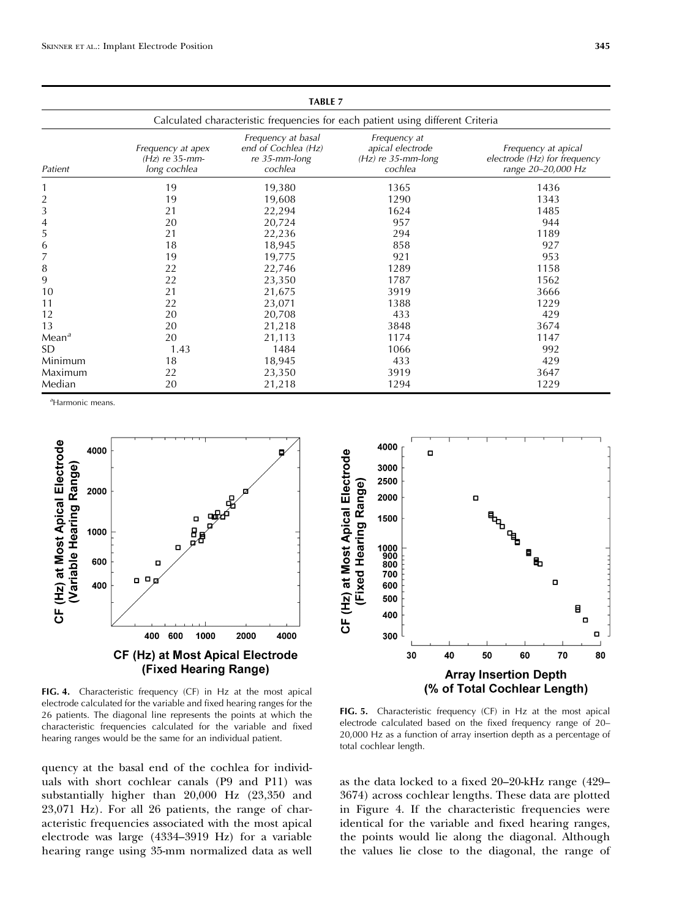|                                                                                 | <b>TABLE 7</b>                                        |                                                                       |                                                                     |                                                                           |  |  |  |  |
|---------------------------------------------------------------------------------|-------------------------------------------------------|-----------------------------------------------------------------------|---------------------------------------------------------------------|---------------------------------------------------------------------------|--|--|--|--|
| Calculated characteristic frequencies for each patient using different Criteria |                                                       |                                                                       |                                                                     |                                                                           |  |  |  |  |
| Patient                                                                         | Frequency at apex<br>$(Hz)$ re 35-mm-<br>long cochlea | Frequency at basal<br>end of Cochlea (Hz)<br>re 35-mm-long<br>cochlea | Frequency at<br>apical electrode<br>$(Hz)$ re 35-mm-long<br>cochlea | Frequency at apical<br>electrode (Hz) for frequency<br>range 20-20,000 Hz |  |  |  |  |
|                                                                                 | 19                                                    | 19,380                                                                | 1365                                                                | 1436                                                                      |  |  |  |  |
| $\overline{\mathbf{c}}$                                                         | 19                                                    | 19,608                                                                | 1290                                                                | 1343                                                                      |  |  |  |  |
| 3                                                                               | 21                                                    | 22,294                                                                | 1624                                                                | 1485                                                                      |  |  |  |  |
| 4                                                                               | 20                                                    | 20,724                                                                | 957                                                                 | 944                                                                       |  |  |  |  |
| 5                                                                               | 21                                                    | 22,236                                                                | 294                                                                 | 1189                                                                      |  |  |  |  |
| 6                                                                               | 18                                                    | 18,945                                                                | 858                                                                 | 927                                                                       |  |  |  |  |
| 7                                                                               | 19                                                    | 19,775                                                                | 921                                                                 | 953                                                                       |  |  |  |  |
| 8                                                                               | 22                                                    | 22,746                                                                | 1289                                                                | 1158                                                                      |  |  |  |  |
| 9                                                                               | 22                                                    | 23,350                                                                | 1787                                                                | 1562                                                                      |  |  |  |  |
| 10                                                                              | 21                                                    | 21,675                                                                | 3919                                                                | 3666                                                                      |  |  |  |  |
| 11                                                                              | 22                                                    | 23,071                                                                | 1388                                                                | 1229                                                                      |  |  |  |  |
| 12                                                                              | 20                                                    | 20,708                                                                | 433                                                                 | 429                                                                       |  |  |  |  |
| 13                                                                              | 20                                                    | 21,218                                                                | 3848                                                                | 3674                                                                      |  |  |  |  |
| Mean <sup>a</sup>                                                               | 20                                                    | 21,113                                                                | 1174                                                                | 1147                                                                      |  |  |  |  |
| <b>SD</b>                                                                       | 1.43                                                  | 1484                                                                  | 1066                                                                | 992                                                                       |  |  |  |  |
| Minimum                                                                         | 18                                                    | 18,945                                                                | 433                                                                 | 429                                                                       |  |  |  |  |
| Maximum                                                                         | 22                                                    | 23,350                                                                | 3919                                                                | 3647                                                                      |  |  |  |  |
| Median                                                                          | 20                                                    | 21,218                                                                | 1294                                                                | 1229                                                                      |  |  |  |  |

<sup>a</sup>Harmonic means





FIG. 4. Characteristic frequency (CF) in Hz at the most apical electrode calculated for the variable and fixed hearing ranges for the 26 patients. The diagonal line represents the points at which the characteristic frequencies calculated for the variable and fixed hearing ranges would be the same for an individual patient.

quency at the basal end of the cochlea for individuals with short cochlear canals (P9 and P11) was substantially higher than 20,000 Hz (23,350 and 23,071 Hz). For all 26 patients, the range of characteristic frequencies associated with the most apical electrode was large (4334-3919 Hz) for a variable hearing range using 35-mm normalized data as well

FIG. 5. Characteristic frequency (CF) in Hz at the most apical electrode calculated based on the fixed frequency range of 20-20,000 Hz as a function of array insertion depth as a percentage of total cochlear length.

as the data locked to a fixed 20–20-kHz range (429– 3674) across cochlear lengths. These data are plotted in Figure 4. If the characteristic frequencies were identical for the variable and fixed hearing ranges, the points would lie along the diagonal. Although the values lie close to the diagonal, the range of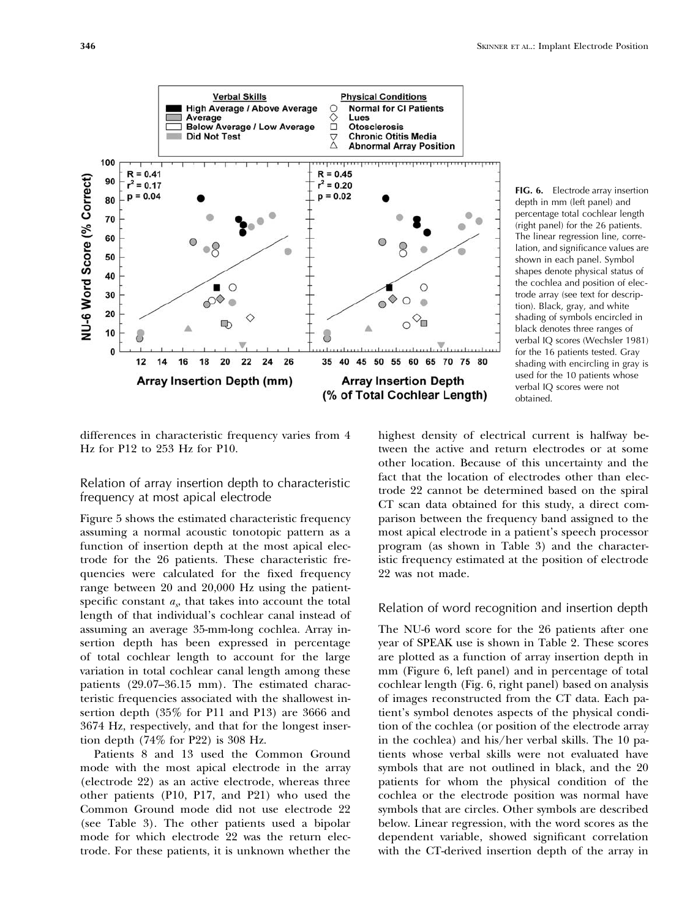

FIG. 6. Electrode array insertion depth in mm (left panel) and percentage total cochlear length (right panel) for the 26 patients. The linear regression line, correlation, and significance values are shown in each panel. Symbol shapes denote physical status of the cochlea and position of electrode array (see text for description). Black, gray, and white shading of symbols encircled in black denotes three ranges of verbal IO scores (Wechsler 1981) for the 16 patients tested. Gray shading with encircling in gray is used for the 10 patients whose verbal IQ scores were not obtained.

differences in characteristic frequency varies from 4 Hz for  $P12$  to  $253$  Hz for  $P10$ .

Relation of array insertion depth to characteristic frequency at most apical electrode

Figure 5 shows the estimated characteristic frequency assuming a normal acoustic tonotopic pattern as a function of insertion depth at the most apical electrode for the 26 patients. These characteristic frequencies were calculated for the fixed frequency range between 20 and 20,000 Hz using the patientspecific constant  $a_s$ , that takes into account the total length of that individual's cochlear canal instead of assuming an average 35-mm-long cochlea. Array insertion depth has been expressed in percentage of total cochlear length to account for the large variation in total cochlear canal length among these patients (29.07–36.15 mm). The estimated characteristic frequencies associated with the shallowest insertion depth (35% for P11 and P13) are 3666 and 3674 Hz, respectively, and that for the longest insertion depth  $(74\%$  for P22) is 308 Hz.

Patients 8 and 13 used the Common Ground mode with the most apical electrode in the array (electrode 22) as an active electrode, whereas three other patients (P10, P17, and P21) who used the Common Ground mode did not use electrode 22 (see Table 3). The other patients used a bipolar mode for which electrode 22 was the return electrode. For these patients, it is unknown whether the highest density of electrical current is halfway between the active and return electrodes or at some other location. Because of this uncertainty and the fact that the location of electrodes other than electrode 22 cannot be determined based on the spiral CT scan data obtained for this study, a direct comparison between the frequency band assigned to the most apical electrode in a patient's speech processor program (as shown in Table 3) and the characteristic frequency estimated at the position of electrode 22 was not made.

#### Relation of word recognition and insertion depth

The NU-6 word score for the 26 patients after one year of SPEAK use is shown in Table 2. These scores are plotted as a function of array insertion depth in mm (Figure 6, left panel) and in percentage of total cochlear length (Fig. 6, right panel) based on analysis of images reconstructed from the CT data. Each patient's symbol denotes aspects of the physical condition of the cochlea (or position of the electrode array in the cochlea) and his/her verbal skills. The 10 patients whose verbal skills were not evaluated have symbols that are not outlined in black, and the 20 patients for whom the physical condition of the cochlea or the electrode position was normal have symbols that are circles. Other symbols are described below. Linear regression, with the word scores as the dependent variable, showed significant correlation with the CT-derived insertion depth of the array in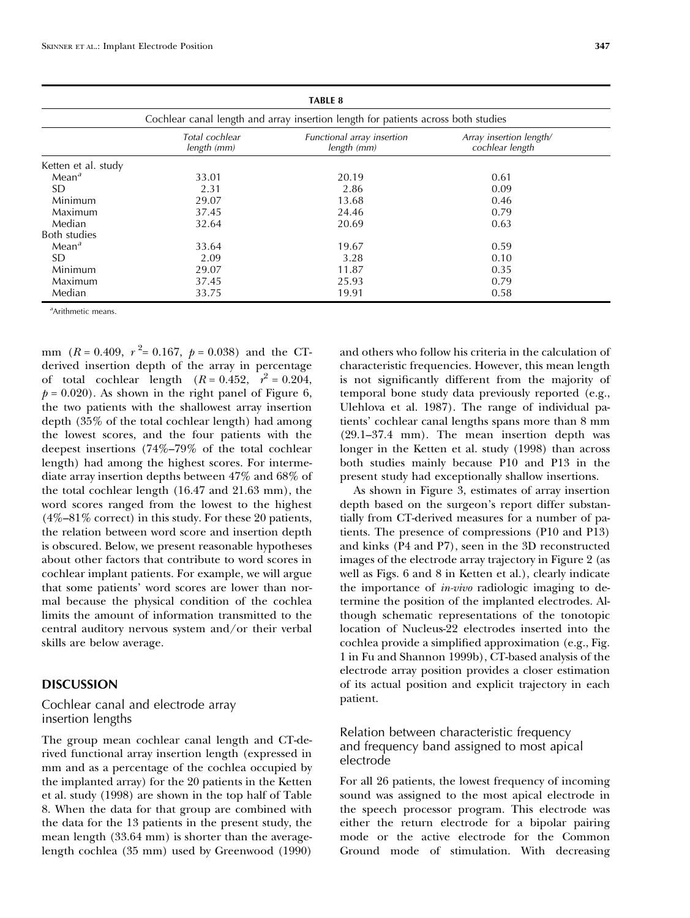|                     |                                                                                   | <b>TABLE 8</b>                            |                                            |  |  |  |  |  |
|---------------------|-----------------------------------------------------------------------------------|-------------------------------------------|--------------------------------------------|--|--|--|--|--|
|                     | Cochlear canal length and array insertion length for patients across both studies |                                           |                                            |  |  |  |  |  |
|                     | Total cochlear<br>length (mm)                                                     | Functional array insertion<br>length (mm) | Array insertion length/<br>cochlear length |  |  |  |  |  |
| Ketten et al. study |                                                                                   |                                           |                                            |  |  |  |  |  |
| Mean <sup>a</sup>   | 33.01                                                                             | 20.19                                     | 0.61                                       |  |  |  |  |  |
| SD.                 | 2.31                                                                              | 2.86                                      | 0.09                                       |  |  |  |  |  |
| Minimum             | 29.07                                                                             | 13.68                                     | 0.46                                       |  |  |  |  |  |
| Maximum             | 37.45                                                                             | 24.46                                     | 0.79                                       |  |  |  |  |  |
| Median              | 32.64                                                                             | 20.69                                     | 0.63                                       |  |  |  |  |  |
| Both studies        |                                                                                   |                                           |                                            |  |  |  |  |  |
| Mean <sup>a</sup>   | 33.64                                                                             | 19.67                                     | 0.59                                       |  |  |  |  |  |
| SD.                 | 2.09                                                                              | 3.28                                      | 0.10                                       |  |  |  |  |  |
| Minimum             | 29.07                                                                             | 11.87                                     | 0.35                                       |  |  |  |  |  |
| Maximum             | 37.45                                                                             | 25.93                                     | 0.79                                       |  |  |  |  |  |
| Median              | 33.75                                                                             | 19.91                                     | 0.58                                       |  |  |  |  |  |

<sup>a</sup>Arithmetic means.

mm  $(R = 0.409, r^2 = 0.167, p = 0.038)$  and the CTderived insertion depth of the array in percentage of total cochlear length  $(R = 0.452, r^2 = 0.204,$  $p = 0.020$ . As shown in the right panel of Figure 6, the two patients with the shallowest array insertion depth (35% of the total cochlear length) had among the lowest scores, and the four patients with the deepest insertions  $(74\% - 79\% )$  of the total cochlear length) had among the highest scores. For intermediate array insertion depths between 47% and 68% of the total cochlear length (16.47 and 21.63 mm), the word scores ranged from the lowest to the highest  $(4\% - 81\%$  correct) in this study. For these 20 patients, the relation between word score and insertion depth is obscured. Below, we present reasonable hypotheses about other factors that contribute to word scores in cochlear implant patients. For example, we will argue that some patients' word scores are lower than normal because the physical condition of the cochlea limits the amount of information transmitted to the central auditory nervous system and/or their verbal skills are below average.

## **DISCUSSION**

## Cochlear canal and electrode array insertion lengths

The group mean cochlear canal length and CT-derived functional array insertion length (expressed in mm and as a percentage of the cochlea occupied by the implanted array) for the 20 patients in the Ketten et al. study (1998) are shown in the top half of Table 8. When the data for that group are combined with the data for the 13 patients in the present study, the mean length (33.64 mm) is shorter than the averagelength cochlea (35 mm) used by Greenwood (1990) and others who follow his criteria in the calculation of characteristic frequencies. However, this mean length is not significantly different from the majority of temporal bone study data previously reported (e.g., Ulehlova et al. 1987). The range of individual patients' cochlear canal lengths spans more than 8 mm (29.1-37.4 mm). The mean insertion depth was longer in the Ketten et al. study (1998) than across both studies mainly because P10 and P13 in the present study had exceptionally shallow insertions.

As shown in Figure 3, estimates of array insertion depth based on the surgeon's report differ substantially from CT-derived measures for a number of patients. The presence of compressions (P10 and P13) and kinks (P4 and P7), seen in the 3D reconstructed images of the electrode array trajectory in Figure 2 (as well as Figs. 6 and 8 in Ketten et al.), clearly indicate the importance of *in-vivo* radiologic imaging to determine the position of the implanted electrodes. Although schematic representations of the tonotopic location of Nucleus-22 electrodes inserted into the cochlea provide a simplified approximation (e.g., Fig. 1 in Fu and Shannon 1999b), CT-based analysis of the electrode array position provides a closer estimation of its actual position and explicit trajectory in each patient.

## Relation between characteristic frequency and frequency band assigned to most apical electrode

For all 26 patients, the lowest frequency of incoming sound was assigned to the most apical electrode in the speech processor program. This electrode was either the return electrode for a bipolar pairing mode or the active electrode for the Common Ground mode of stimulation. With decreasing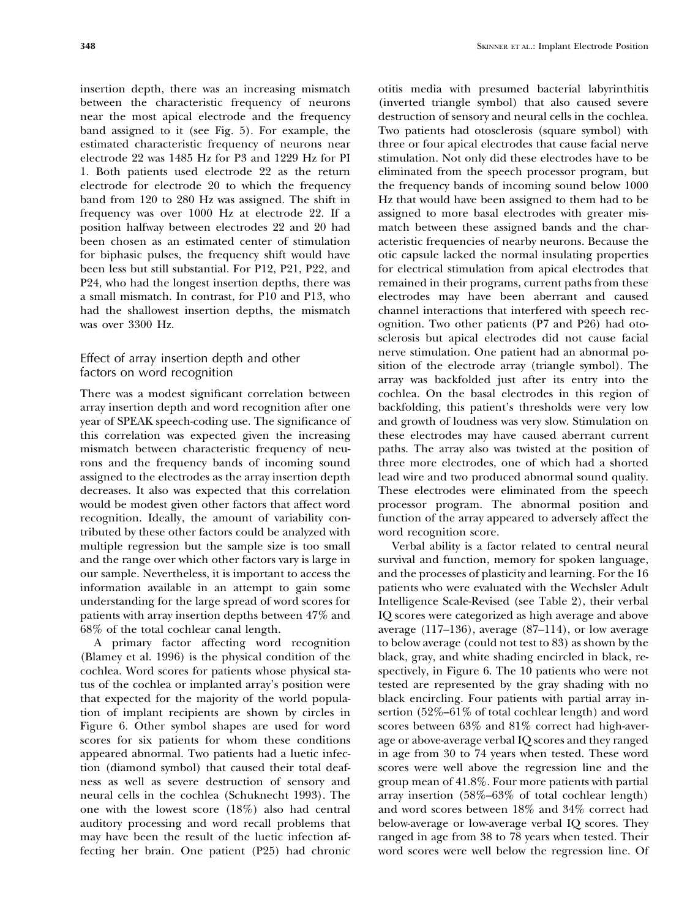insertion depth, there was an increasing mismatch between the characteristic frequency of neurons near the most apical electrode and the frequency band assigned to it (see Fig. 5). For example, the estimated characteristic frequency of neurons near electrode 22 was 1485 Hz for P3 and 1229 Hz for PI 1. Both patients used electrode 22 as the return electrode for electrode 20 to which the frequency band from 120 to 280 Hz was assigned. The shift in frequency was over 1000 Hz at electrode 22. If a position halfway between electrodes 22 and 20 had been chosen as an estimated center of stimulation for biphasic pulses, the frequency shift would have been less but still substantial. For P12, P21, P22, and P24, who had the longest insertion depths, there was a small mismatch. In contrast, for P10 and P13, who had the shallowest insertion depths, the mismatch was over 3300 Hz.

# Effect of array insertion depth and other factors on word recognition

There was a modest significant correlation between array insertion depth and word recognition after one year of SPEAK speech-coding use. The significance of this correlation was expected given the increasing mismatch between characteristic frequency of neurons and the frequency bands of incoming sound assigned to the electrodes as the array insertion depth decreases. It also was expected that this correlation would be modest given other factors that affect word recognition. Ideally, the amount of variability contributed by these other factors could be analyzed with multiple regression but the sample size is too small and the range over which other factors vary is large in our sample. Nevertheless, it is important to access the information available in an attempt to gain some understanding for the large spread of word scores for patients with array insertion depths between 47% and 68% of the total cochlear canal length.

A primary factor affecting word recognition (Blamey et al. 1996) is the physical condition of the cochlea. Word scores for patients whose physical status of the cochlea or implanted array's position were that expected for the majority of the world population of implant recipients are shown by circles in Figure 6. Other symbol shapes are used for word scores for six patients for whom these conditions appeared abnormal. Two patients had a luetic infection (diamond symbol) that caused their total deafness as well as severe destruction of sensory and neural cells in the cochlea (Schuknecht 1993). The one with the lowest score (18%) also had central auditory processing and word recall problems that may have been the result of the luetic infection affecting her brain. One patient (P25) had chronic

otitis media with presumed bacterial labyrinthitis (inverted triangle symbol) that also caused severe destruction of sensory and neural cells in the cochlea. Two patients had otosclerosis (square symbol) with three or four apical electrodes that cause facial nerve stimulation. Not only did these electrodes have to be eliminated from the speech processor program, but the frequency bands of incoming sound below 1000 Hz that would have been assigned to them had to be assigned to more basal electrodes with greater mismatch between these assigned bands and the characteristic frequencies of nearby neurons. Because the otic capsule lacked the normal insulating properties for electrical stimulation from apical electrodes that remained in their programs, current paths from these electrodes may have been aberrant and caused channel interactions that interfered with speech recognition. Two other patients (P7 and P26) had otosclerosis but apical electrodes did not cause facial nerve stimulation. One patient had an abnormal position of the electrode array (triangle symbol). The array was backfolded just after its entry into the cochlea. On the basal electrodes in this region of backfolding, this patient's thresholds were very low and growth of loudness was very slow. Stimulation on these electrodes may have caused aberrant current paths. The array also was twisted at the position of three more electrodes, one of which had a shorted lead wire and two produced abnormal sound quality. These electrodes were eliminated from the speech processor program. The abnormal position and function of the array appeared to adversely affect the word recognition score.

Verbal ability is a factor related to central neural survival and function, memory for spoken language, and the processes of plasticity and learning. For the 16 patients who were evaluated with the Wechsler Adult Intelligence Scale-Revised (see Table 2), their verbal IQ scores were categorized as high average and above average  $(117-136)$ , average  $(87-114)$ , or low average to below average (could not test to 83) as shown by the black, gray, and white shading encircled in black, respectively, in Figure 6. The 10 patients who were not tested are represented by the gray shading with no black encircling. Four patients with partial array insertion (52%-61% of total cochlear length) and word scores between 63% and 81% correct had high-average or above-average verbal IQ scores and they ranged in age from 30 to 74 years when tested. These word scores were well above the regression line and the group mean of 41.8%. Four more patients with partial array insertion  $(58\% - 63\% \text{ of total cochlear length})$ and word scores between 18% and 34% correct had below-average or low-average verbal IQ scores. They ranged in age from 38 to 78 years when tested. Their word scores were well below the regression line. Of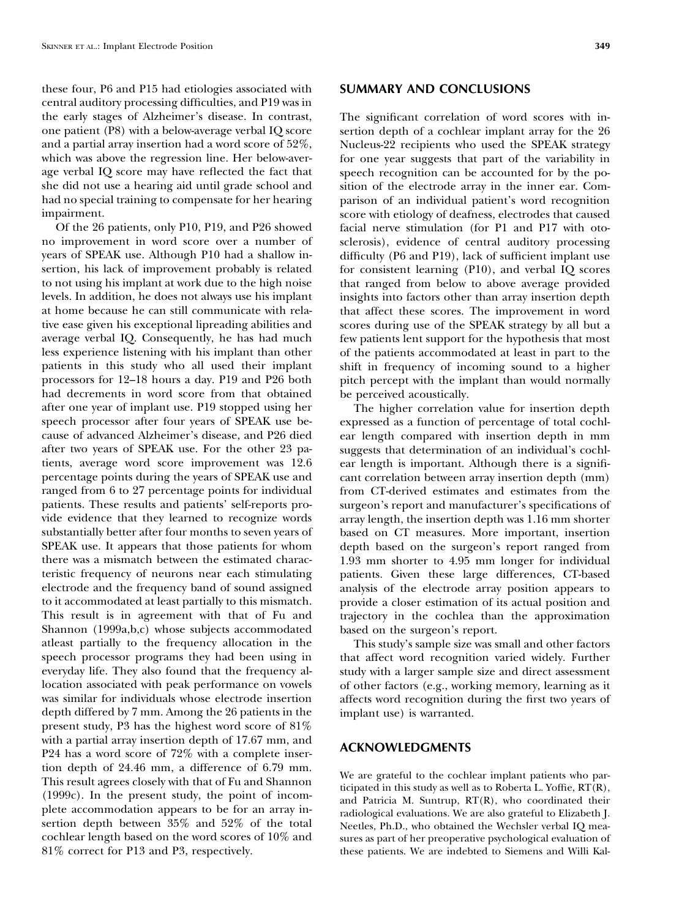these four, P6 and P15 had etiologies associated with central auditory processing difficulties, and P19 was in the early stages of Alzheimer's disease. In contrast, one patient (P8) with a below-average verbal IQ score and a partial array insertion had a word score of  $52\%$ , which was above the regression line. Her below-average verbal IQ score may have reflected the fact that she did not use a hearing aid until grade school and had no special training to compensate for her hearing impairment.

Of the 26 patients, only P10, P19, and P26 showed no improvement in word score over a number of years of SPEAK use. Although P10 had a shallow insertion, his lack of improvement probably is related to not using his implant at work due to the high noise levels. In addition, he does not always use his implant at home because he can still communicate with relative ease given his exceptional lipreading abilities and average verbal IQ. Consequently, he has had much less experience listening with his implant than other patients in this study who all used their implant processors for 12-18 hours a day. P19 and P26 both had decrements in word score from that obtained after one year of implant use. P19 stopped using her speech processor after four years of SPEAK use because of advanced Alzheimer's disease, and P26 died after two years of SPEAK use. For the other 23 patients, average word score improvement was 12.6 percentage points during the years of SPEAK use and ranged from 6 to 27 percentage points for individual patients. These results and patients' self-reports provide evidence that they learned to recognize words substantially better after four months to seven years of SPEAK use. It appears that those patients for whom there was a mismatch between the estimated characteristic frequency of neurons near each stimulating electrode and the frequency band of sound assigned to it accommodated at least partially to this mismatch. This result is in agreement with that of Fu and Shannon (1999a,b,c) whose subjects accommodated atleast partially to the frequency allocation in the speech processor programs they had been using in everyday life. They also found that the frequency allocation associated with peak performance on vowels was similar for individuals whose electrode insertion depth differed by 7 mm. Among the 26 patients in the present study, P3 has the highest word score of 81% with a partial array insertion depth of 17.67 mm, and P24 has a word score of 72% with a complete insertion depth of 24.46 mm, a difference of 6.79 mm. This result agrees closely with that of Fu and Shannon  $(1999c)$ . In the present study, the point of incomplete accommodation appears to be for an array insertion depth between 35% and 52% of the total cochlear length based on the word scores of  $10\%$  and 81% correct for P13 and P3, respectively.

## **SUMMARY AND CONCLUSIONS**

The significant correlation of word scores with insertion depth of a cochlear implant array for the 26 Nucleus-22 recipients who used the SPEAK strategy for one year suggests that part of the variability in speech recognition can be accounted for by the position of the electrode array in the inner ear. Comparison of an individual patient's word recognition score with etiology of deafness, electrodes that caused facial nerve stimulation (for P1 and P17 with otosclerosis), evidence of central auditory processing difficulty (P6 and P19), lack of sufficient implant use for consistent learning (P10), and verbal IQ scores that ranged from below to above average provided insights into factors other than array insertion depth that affect these scores. The improvement in word scores during use of the SPEAK strategy by all but a few patients lent support for the hypothesis that most of the patients accommodated at least in part to the shift in frequency of incoming sound to a higher pitch percept with the implant than would normally be perceived acoustically.

The higher correlation value for insertion depth expressed as a function of percentage of total cochlear length compared with insertion depth in mm suggests that determination of an individual's cochlear length is important. Although there is a significant correlation between array insertion depth (mm) from CT-derived estimates and estimates from the surgeon's report and manufacturer's specifications of array length, the insertion depth was 1.16 mm shorter based on CT measures. More important, insertion depth based on the surgeon's report ranged from 1.93 mm shorter to 4.95 mm longer for individual patients. Given these large differences, CT-based analysis of the electrode array position appears to provide a closer estimation of its actual position and trajectory in the cochlea than the approximation based on the surgeon's report.

This study's sample size was small and other factors that affect word recognition varied widely. Further study with a larger sample size and direct assessment of other factors (e.g., working memory, learning as it affects word recognition during the first two years of implant use) is warranted.

## **ACKNOWLEDGMENTS**

We are grateful to the cochlear implant patients who participated in this study as well as to Roberta L. Yoffie,  $RT(R)$ , and Patricia M. Suntrup, RT(R), who coordinated their radiological evaluations. We are also grateful to Elizabeth J. Neetles, Ph.D., who obtained the Wechsler verbal IQ measures as part of her preoperative psychological evaluation of these patients. We are indebted to Siemens and Willi Kal-